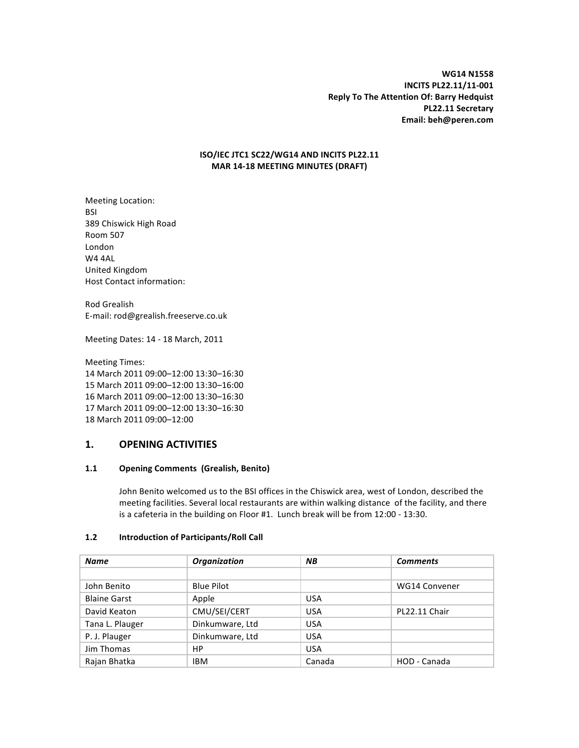**WG14%N1558 INCITS PL22.11/11-001 Reply To The Attention Of: Barry Hedquist PL22.11 Secretary Email:%beh@peren.com**

## **ISO/IEC%JTC1 SC22/WG14%AND%INCITS%PL22.11 MAR 14-18 MEETING MINUTES (DRAFT)**

Meeting Location: BSI 389 Chiswick High Road Room!507 London W4 4AL United!Kingdom Host Contact information:

Rod!Grealish E-mail: rod@grealish.freeserve.co.uk

Meeting Dates: 14 - 18 March, 2011

Meeting Times: March 2011 09:00–12:00 13:30–16:30 March 2011 09:00–12:00 13:30–16:00 March 2011 09:00–12:00 13:30–16:30 March 2011 09:00–12:00 13:30–16:30 March 2011 09:00–12:00

## **1.% OPENING%ACTIVITIES%**

## 1.1 **Opening Comments** (Grealish, Benito)

John Benito welcomed us to the BSI offices in the Chiswick area, west of London, described the meeting facilities. Several local restaurants are within walking distance of the facility, and there is a cafeteria in the building on Floor #1. Lunch break will be from 12:00 - 13:30.

## **1.2 Introduction of Participants/Roll Call**

| <b>Name</b>         | <b>Organization</b> | <b>NB</b>  | <b>Comments</b> |
|---------------------|---------------------|------------|-----------------|
|                     |                     |            |                 |
| John Benito         | <b>Blue Pilot</b>   |            | WG14 Convener   |
| <b>Blaine Garst</b> | Apple               | <b>USA</b> |                 |
| David Keaton        | CMU/SEI/CERT        | <b>USA</b> | PL22.11 Chair   |
| Tana L. Plauger     | Dinkumware, Ltd     | <b>USA</b> |                 |
| P. J. Plauger       | Dinkumware, Ltd     | <b>USA</b> |                 |
| Jim Thomas          | НP                  | <b>USA</b> |                 |
| Rajan Bhatka        | IBM                 | Canada     | HOD - Canada    |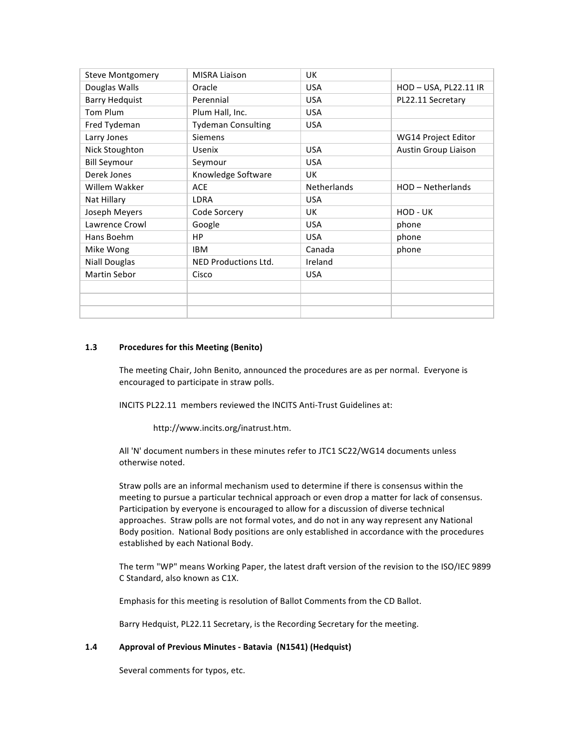| <b>Steve Montgomery</b> | <b>MISRA Liaison</b>        | UK                 |                      |
|-------------------------|-----------------------------|--------------------|----------------------|
| Douglas Walls           | Oracle                      | <b>USA</b>         | HOD-USA, PL22.11 IR  |
| <b>Barry Hedquist</b>   | Perennial                   | <b>USA</b>         | PL22.11 Secretary    |
| Tom Plum                | Plum Hall, Inc.             | <b>USA</b>         |                      |
| Fred Tydeman            | <b>Tydeman Consulting</b>   | <b>USA</b>         |                      |
| Larry Jones             | <b>Siemens</b>              |                    | WG14 Project Editor  |
| Nick Stoughton          | <b>Usenix</b>               | <b>USA</b>         | Austin Group Liaison |
| <b>Bill Seymour</b>     | Seymour                     | <b>USA</b>         |                      |
| Derek Jones             | Knowledge Software          | UK.                |                      |
| Willem Wakker           | <b>ACE</b>                  | <b>Netherlands</b> | HOD - Netherlands    |
| Nat Hillary             | <b>LDRA</b>                 | <b>USA</b>         |                      |
| Joseph Meyers           | Code Sorcery                | UK                 | HOD - UK             |
| Lawrence Crowl          | Google                      | <b>USA</b>         | phone                |
| Hans Boehm              | HP.                         | <b>USA</b>         | phone                |
| Mike Wong               | <b>IBM</b>                  | Canada             | phone                |
| <b>Niall Douglas</b>    | <b>NED Productions Ltd.</b> | Ireland            |                      |
| <b>Martin Sebor</b>     | Cisco                       | <b>USA</b>         |                      |
|                         |                             |                    |                      |
|                         |                             |                    |                      |
|                         |                             |                    |                      |
|                         |                             |                    |                      |

## **1.3** Procedures for this Meeting (Benito)

The meeting Chair, John Benito, announced the procedures are as per normal. Everyone is encouraged to participate in straw polls.

INCITS PL22.11 members reviewed the INCITS Anti-Trust Guidelines at:

http://www.incits.org/inatrust.htm.

All 'N' document numbers in these minutes refer to JTC1 SC22/WG14 documents unless otherwise noted.

Straw polls are an informal mechanism used to determine if there is consensus within the meeting to pursue a particular technical approach or even drop a matter for lack of consensus. Participation by everyone is encouraged to allow for a discussion of diverse technical approaches. Straw polls are not formal votes, and do not in any way represent any National Body position. National Body positions are only established in accordance with the procedures established by each National Body.

The term "WP" means Working Paper, the latest draft version of the revision to the ISO/IEC 9899 C Standard, also known as C1X.

Emphasis for this meeting is resolution of Ballot Comments from the CD Ballot.

Barry Hedquist, PL22.11 Secretary, is the Recording Secretary for the meeting.

## **1.4 Approval of Previous Minutes - Batavia (N1541) (Hedquist)**

Several comments for typos, etc.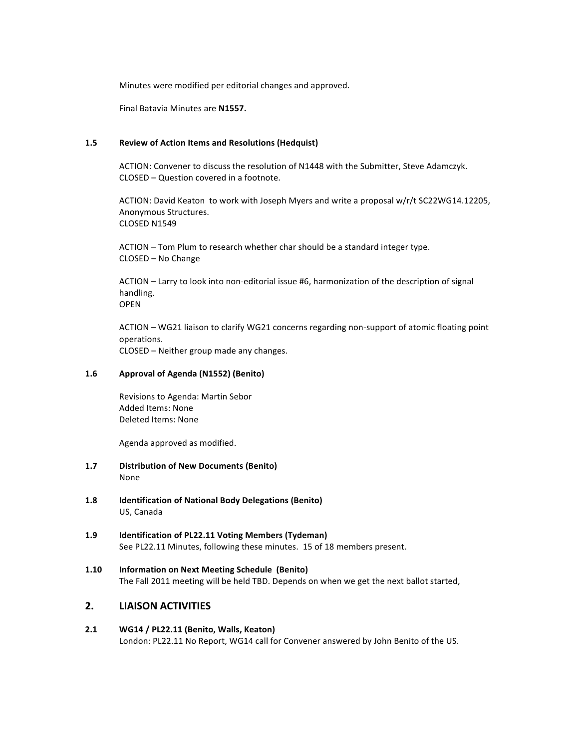Minutes were modified per editorial changes and approved.

Final!Batavia!Minutes!are!**N1557.**

## 1.5 Review of Action Items and Resolutions (Hedquist)

ACTION: Convener to discuss the resolution of N1448 with the Submitter, Steve Adamczyk. CLOSED – Question covered in a footnote.

ACTION: David Keaton to work with Joseph Myers and write a proposal w/r/t SC22WG14.12205, Anonymous Structures. CLOSED N1549

ACTION – Tom Plum to research whether char should be a standard integer type. CLOSED – No Change

ACTION – Larry to look into non-editorial issue #6, harmonization of the description of signal handling. OPEN

ACTION – WG21 liaison to clarify WG21 concerns regarding non-support of atomic floating point operations. CLOSED – Neither group made any changes.

## 1.6 **Approval of Agenda (N1552) (Benito)**

Revisions to Agenda: Martin Sebor Added Items: None Deleted Items: None

Agenda approved as modified.

- **1.7 Distribution of New Documents (Benito)** None
- 1.8 **Identification of National Body Delegations (Benito)** US, Canada
- 1.9 **Identification of PL22.11 Voting Members (Tydeman)** See PL22.11 Minutes, following these minutes. 15 of 18 members present.
- 1.10 **Information on Next Meeting Schedule (Benito)** The Fall 2011 meeting will be held TBD. Depends on when we get the next ballot started,

## **2.% LIAISON%ACTIVITIES%**

**2.1 WG14%/%PL22.11 (Benito,%Walls, Keaton)** London: PL22.11 No Report, WG14 call for Convener answered by John Benito of the US.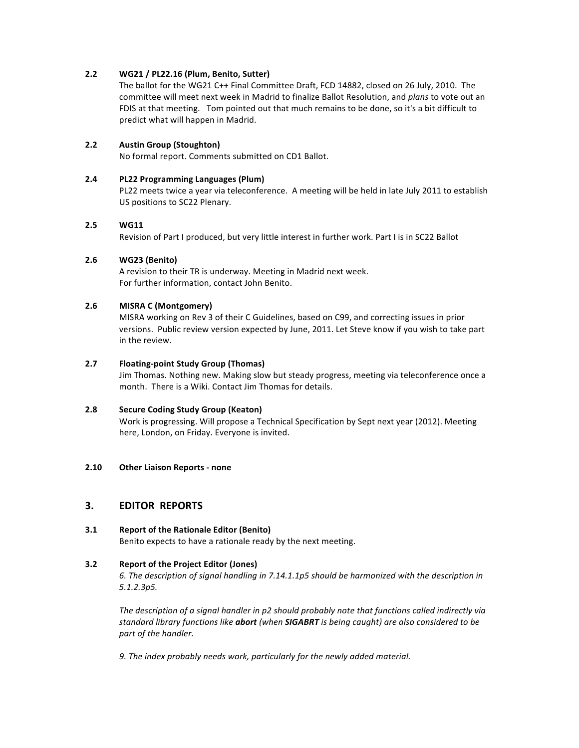## **2.2 WG21%/%PL22.16 (Plum,%Benito,%Sutter)**

The ballot for the WG21 C++ Final Committee Draft, FCD 14882, closed on 26 July, 2010. The committee will meet next week in Madrid to finalize Ballot Resolution, and *plans* to vote out an FDIS at that meeting. Tom pointed out that much remains to be done, so it's a bit difficult to predict what will happen in Madrid.

## **2.2 Austin Group (Stoughton)**

No formal report. Comments submitted on CD1 Ballot.

## **2.4 PL22%Programming%Languages%(Plum)**

PL22 meets twice a year via teleconference. A meeting will be held in late July 2011 to establish US positions to SC22 Plenary.

## **2.5 WG11**

Revision of Part I produced, but very little interest in further work. Part I is in SC22 Ballot

## **2.6 WG23%(Benito)**

A revision to their TR is underway. Meeting in Madrid next week. For further information, contact John Benito.

## **2.6 MISRA%C%(Montgomery)**

MISRA working on Rev 3 of their C Guidelines, based on C99, and correcting issues in prior versions. Public review version expected by June, 2011. Let Steve know if you wish to take part in the review.

## **2.7 Floating-point Study Group (Thomas)**

Jim Thomas. Nothing new. Making slow but steady progress, meeting via teleconference once a month. There is a Wiki. Contact Jim Thomas for details.

## **2.8 Secure Coding Study Group (Keaton)**

Work is progressing. Will propose a Technical Specification by Sept next year (2012). Meeting here, London, on Friday. Everyone is invited.

## **2.10 Other Liaison Reports - none**

## **3.% EDITOR%%REPORTS**

**3.1 Report of the Rationale Editor (Benito)** Benito expects to have a rationale ready by the next meeting.

## **3.2 Report of the Project Editor (Jones)**

6. The description of signal handling in 7.14.1.1p5 should be harmonized with the description in *5.1.2.3p5.*

*The description of a signal handler in p2 should probably note that functions called indirectly via standard library functions like abort (when SIGABRT is being caught) are also considered to be* part of the handler.

9. The index probably needs work, particularly for the newly added material.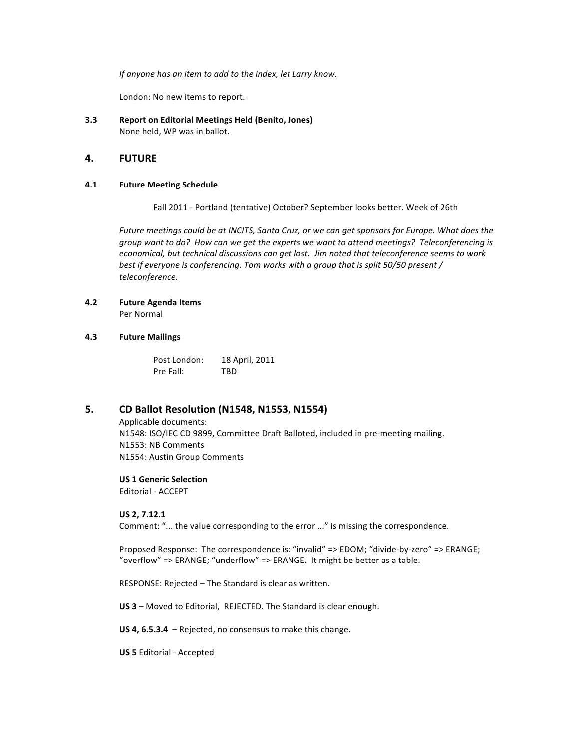*If anyone has an item to add to the index, let Larry know.* 

London: No new items to report.

**3.3 Report on Editorial Meetings Held (Benito, Jones)** None held, WP was in ballot.

## **4.% FUTURE%**

## **4.1 • Future Meeting Schedule**

Fall 2011 - Portland (tentative) October? September looks better. Week of 26th

Future meetings could be at INCITS, Santa Cruz, or we can get sponsors for Europe. What does the group want to do? How can we get the experts we want to attend meetings? Teleconferencing is *economical, but technical discussions can get lost. Jim noted that teleconference seems to work best if everyone is conferencing. Tom works with a group that is split 50/50 present* / *teleconference.*

# **4.2 Future%Agenda%Items**

Per Normal

## **4.3 Future%Mailings**

Post London: 18 April, 2011 Pre Fall: TBD

## **5. CD%Ballot%Resolution%(N1548,%N1553,%N1554)**

Applicable documents: N1548: ISO/IEC CD 9899, Committee Draft Balloted, included in pre-meeting mailing. N1553: NB Comments N1554: Austin Group Comments

## **US 1 Generic Selection**

Editorial - ACCEPT

## **US%2,%7.12.1**

Comment: "... the value corresponding to the error ..." is missing the correspondence.

Proposed Response: The correspondence is: "invalid" => EDOM; "divide-by-zero" => ERANGE; "overflow" =>  $ERANGE$ ; "underflow" =>  $ERANGE$ . It might be better as a table.

RESPONSE: Rejected – The Standard is clear as written.

US 3 – Moved to Editorial, REJECTED. The Standard is clear enough.

**US 4, 6.5.3.4** – Rejected, no consensus to make this change.

**US 5 Editorial - Accepted**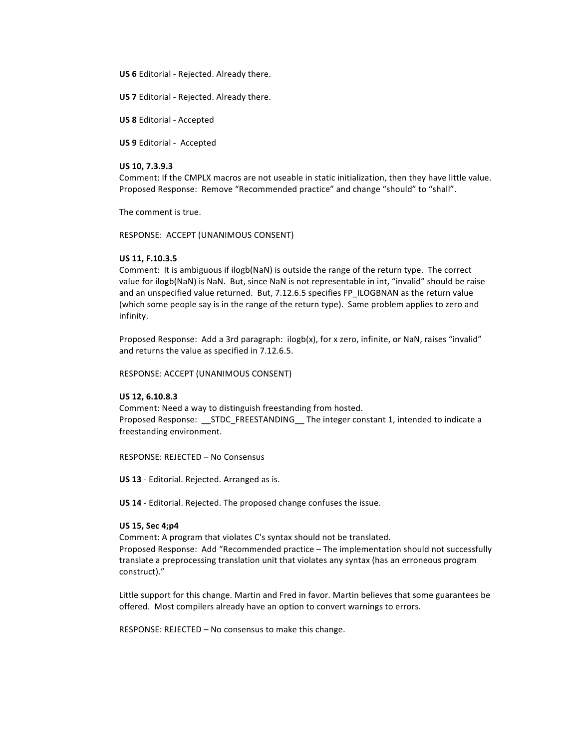**US 6** Editorial - Rejected. Already there.

**US 7** Editorial - Rejected. Already there.

**US 8** Editorial - Accepted

**US 9** Editorial - Accepted

## **US%10,%7.3.9.3**

Comment: If the CMPLX macros are not useable in static initialization, then they have little value. Proposed Response: Remove "Recommended practice" and change "should" to "shall".

The comment is true.

RESPONSE: ACCEPT (UNANIMOUS CONSENT)

## **US%11,%F.10.3.5**

Comment: It is ambiguous if ilogb(NaN) is outside the range of the return type. The correct value for ilogb(NaN) is NaN. But, since NaN is not representable in int, "invalid" should be raise and an unspecified value returned. But, 7.12.6.5 specifies FP\_ILOGBNAN as the return value (which some people say is in the range of the return type). Same problem applies to zero and infinity.

Proposed Response: Add a 3rd paragraph: ilogb(x), for x zero, infinite, or NaN, raises "invalid" and returns the value as specified in 7.12.6.5.

RESPONSE: ACCEPT (UNANIMOUS CONSENT)

## **US%12,%6.10.8.3**

Comment: Need a way to distinguish freestanding from hosted. Proposed Response: \_\_STDC\_FREESTANDING\_\_ The integer constant 1, intended to indicate a freestanding environment.

RESPONSE: REJECTED - No Consensus

**US 13** - Editorial. Rejected. Arranged as is.

**US 14** - Editorial. Rejected. The proposed change confuses the issue.

#### **US%15,%Sec%4;p4**

Comment: A program that violates C's syntax should not be translated. Proposed Response: Add "Recommended practice – The implementation should not successfully translate a preprocessing translation unit that violates any syntax (has an erroneous program construct)."

Little support for this change. Martin and Fred in favor. Martin believes that some guarantees be offered. Most compilers already have an option to convert warnings to errors.

RESPONSE: REJECTED – No consensus to make this change.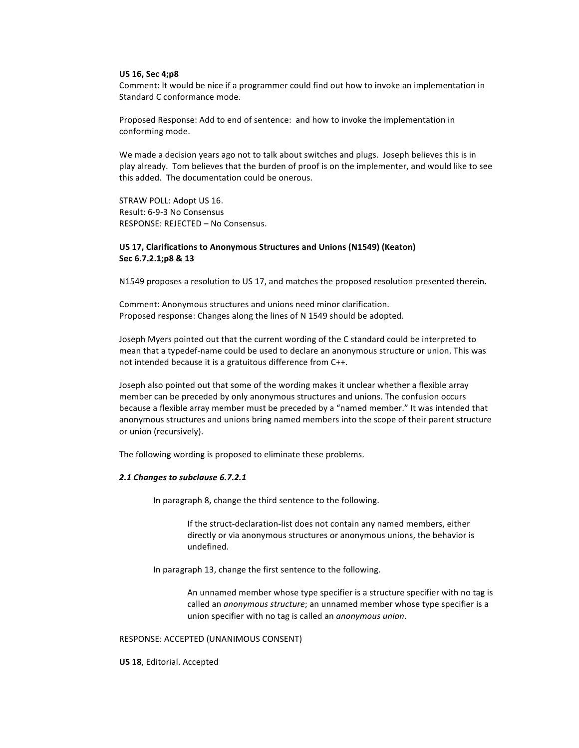#### **US%16,%Sec%4;p8**

Comment: It would be nice if a programmer could find out how to invoke an implementation in Standard C conformance mode.

Proposed Response: Add to end of sentence: and how to invoke the implementation in conforming mode.

We made a decision years ago not to talk about switches and plugs. Joseph believes this is in play already. Tom believes that the burden of proof is on the implementer, and would like to see this added. The documentation could be onerous.

STRAW POLL: Adopt US 16. Result: 6-9-3 No Consensus RESPONSE: REJECTED - No Consensus.

## **US 17, Clarifications to Anonymous Structures and Unions (N1549) (Keaton)** Sec 6.7.2.1;p8 & 13

N1549 proposes a resolution to US 17, and matches the proposed resolution presented therein.

Comment: Anonymous structures and unions need minor clarification. Proposed response: Changes along the lines of N 1549 should be adopted.

Joseph Myers pointed out that the current wording of the C standard could be interpreted to mean that a typedef-name could be used to declare an anonymous structure or union. This was not intended because it is a gratuitous difference from C++.

Joseph also pointed out that some of the wording makes it unclear whether a flexible array member can be preceded by only anonymous structures and unions. The confusion occurs because a flexible array member must be preceded by a "named member." It was intended that anonymous structures and unions bring named members into the scope of their parent structure or union (recursively).

The following wording is proposed to eliminate these problems.

## 2.1 Changes to subclause 6.7.2.1

In paragraph 8, change the third sentence to the following.

If the struct-declaration-list does not contain any named members, either directly or via anonymous structures or anonymous unions, the behavior is undefined.

In paragraph 13, change the first sentence to the following.

An unnamed member whose type specifier is a structure specifier with no tag is called an *anonymous structure*; an unnamed member whose type specifier is a union!specifier!with!no!tag is!called!an!*anonymous!union*.

#### RESPONSE: ACCEPTED (UNANIMOUS CONSENT)

**US 18, Editorial. Accepted**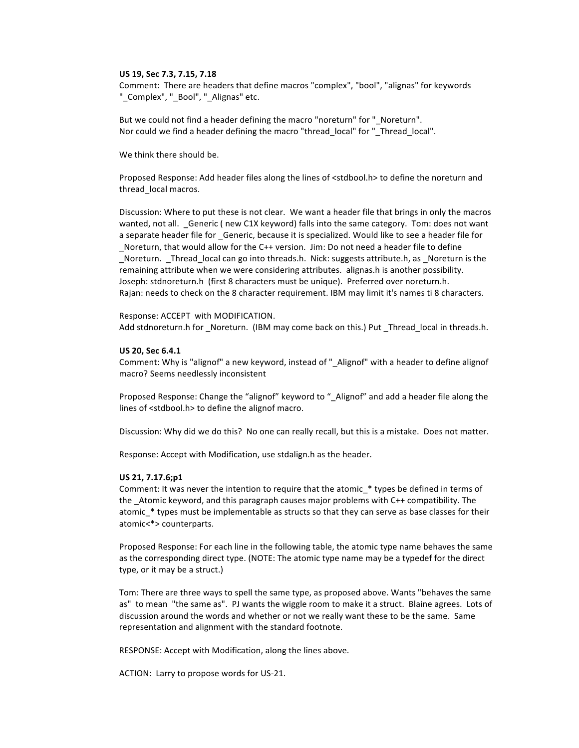#### US 19, Sec 7.3, 7.15, 7.18

Comment: There are headers that define macros "complex", "bool", "alignas" for keywords " Complex", " Bool", " Alignas" etc.

But we could not find a header defining the macro "noreturn" for "\_Noreturn". Nor could we find a header defining the macro "thread local" for " Thread local".

We think there should be.

Proposed Response: Add header files along the lines of <stdbool.h> to define the noreturn and thread local macros.

Discussion: Where to put these is not clear. We want a header file that brings in only the macros wanted, not all. \_Generic (new C1X keyword) falls into the same category. Tom: does not want a separate header file for Generic, because it is specialized. Would like to see a header file for Noreturn, that would allow for the C++ version. Jim: Do not need a header file to define Noreturn. Thread\_local can go into threads.h. Nick: suggests attribute.h, as \_Noreturn is the remaining attribute when we were considering attributes. alignas.h is another possibility. Joseph: stdnoreturn.h (first 8 characters must be unique). Preferred over noreturn.h. Rajan: needs to check on the 8 character requirement. IBM may limit it's names ti 8 characters.

Response: ACCEPT with MODIFICATION. Add stdnoreturn.h for \_Noreturn. (IBM may come back on this.) Put \_Thread\_local in threads.h.

## US 20, Sec 6.4.1

Comment: Why is "alignof" a new keyword, instead of "\_Alignof" with a header to define alignof macro? Seems needlessly inconsistent

Proposed Response: Change the "alignof" keyword to " Alignof" and add a header file along the lines of <stdbool.h> to define the alignof macro.

Discussion: Why did we do this? No one can really recall, but this is a mistake. Does not matter.

Response: Accept with Modification, use stdalign.h as the header.

#### US 21, 7.17.6;p1

Comment: It was never the intention to require that the atomic\_\* types be defined in terms of the Atomic keyword, and this paragraph causes major problems with C++ compatibility. The atomic\_\* types must be implementable as structs so that they can serve as base classes for their atomic<\*> counterparts.

Proposed Response: For each line in the following table, the atomic type name behaves the same as the corresponding direct type. (NOTE: The atomic type name may be a typedef for the direct type, or it may be a struct.)

Tom: There are three ways to spell the same type, as proposed above. Wants "behaves the same as" to mean "the same as". PJ wants the wiggle room to make it a struct. Blaine agrees. Lots of discussion around the words and whether or not we really want these to be the same. Same representation and alignment with the standard footnote.

RESPONSE: Accept with Modification, along the lines above.

ACTION: Larry to propose words for US-21.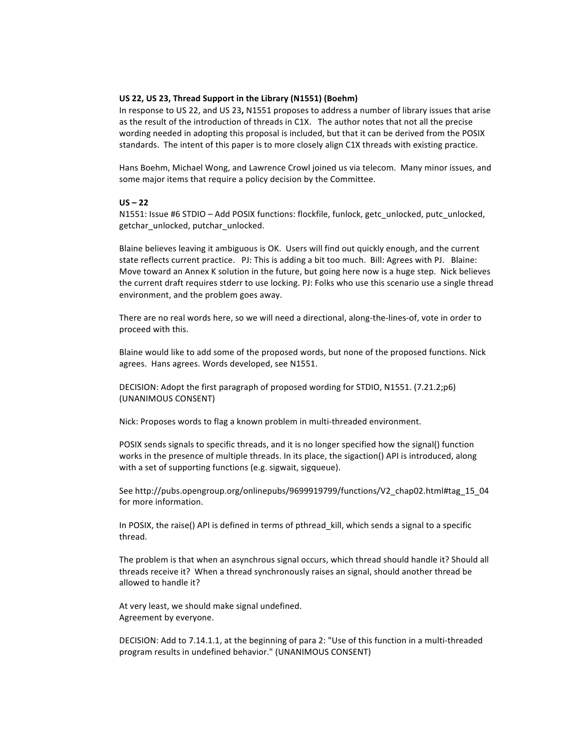## **US 22, US 23, Thread Support in the Library (N1551) (Boehm)**

In response to US 22, and US 23, N1551 proposes to address a number of library issues that arise as the result of the introduction of threads in C1X. The author notes that not all the precise wording needed in adopting this proposal is included, but that it can be derived from the POSIX standards. The intent of this paper is to more closely align C1X threads with existing practice.

Hans Boehm, Michael Wong, and Lawrence Crowl joined us via telecom. Many minor issues, and some major items that require a policy decision by the Committee.

## $US - 22$

N1551: Issue #6 STDIO – Add POSIX functions: flockfile, funlock, getc\_unlocked, putc\_unlocked, getchar\_unlocked,!putchar\_unlocked.

Blaine believes leaving it ambiguous is OK. Users will find out quickly enough, and the current state reflects current practice. PJ: This is adding a bit too much. Bill: Agrees with PJ. Blaine: Move toward an Annex K solution in the future, but going here now is a huge step. Nick believes the current draft requires stderr to use locking. PJ: Folks who use this scenario use a single thread environment, and the problem goes away.

There are no real words here, so we will need a directional, along-the-lines-of, vote in order to proceed with this.

Blaine would like to add some of the proposed words, but none of the proposed functions. Nick agrees. Hans agrees. Words developed, see N1551.

DECISION: Adopt the first paragraph of proposed wording for STDIO, N1551. (7.21.2;p6) (UNANIMOUS CONSENT)

Nick: Proposes words to flag a known problem in multi-threaded environment.

POSIX sends signals to specific threads, and it is no longer specified how the signal() function works in the presence of multiple threads. In its place, the sigaction() API is introduced, along with a set of supporting functions (e.g. sigwait, sigqueue).

See http://pubs.opengroup.org/onlinepubs/9699919799/functions/V2\_chap02.html#tag\_15\_04 for more information.

In POSIX, the raise() API is defined in terms of pthread\_kill, which sends a signal to a specific thread.

The problem is that when an asynchrous signal occurs, which thread should handle it? Should all threads receive it? When a thread synchronously raises an signal, should another thread be allowed to handle it?

At very least, we should make signal undefined. Agreement by everyone.

DECISION: Add to 7.14.1.1, at the beginning of para 2: "Use of this function in a multi-threaded program results in undefined behavior." (UNANIMOUS CONSENT)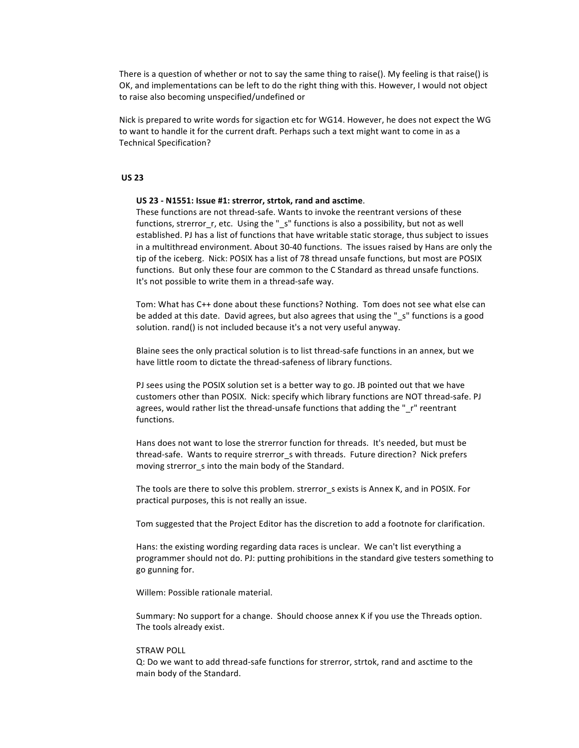There is a question of whether or not to say the same thing to raise(). My feeling is that raise() is OK, and implementations can be left to do the right thing with this. However, I would not object to raise also becoming unspecified/undefined or

Nick is prepared to write words for sigaction etc for WG14. However, he does not expect the WG to want to handle it for the current draft. Perhaps such a text might want to come in as a Technical Specification?

## **US%23**

#### **US 23 - N1551: Issue #1: strerror, strtok, rand and asctime.**

These functions are not thread-safe. Wants to invoke the reentrant versions of these functions, strerror\_r, etc. Using the "\_s" functions is also a possibility, but not as well established. PJ has a list of functions that have writable static storage, thus subject to issues in a multithread environment. About 30-40 functions. The issues raised by Hans are only the tip of the iceberg. Nick: POSIX has a list of 78 thread unsafe functions, but most are POSIX functions. But only these four are common to the C Standard as thread unsafe functions. It's not possible to write them in a thread-safe way.

Tom: What has C++ done about these functions? Nothing. Tom does not see what else can be added at this date. David agrees, but also agrees that using the " s" functions is a good solution. rand() is not included because it's a not very useful anyway.

Blaine sees the only practical solution is to list thread-safe functions in an annex, but we have little room to dictate the thread-safeness of library functions.

PJ sees using the POSIX solution set is a better way to go. JB pointed out that we have customers other than POSIX. Nick: specify which library functions are NOT thread-safe. PJ agrees, would rather list the thread-unsafe functions that adding the " r" reentrant functions.

Hans does not want to lose the strerror function for threads. It's needed, but must be thread-safe. Wants to require strerror\_s with threads. Future direction? Nick prefers moving strerror s into the main body of the Standard.

The tools are there to solve this problem. strerror sexists is Annex K, and in POSIX. For practical purposes, this is not really an issue.

Tom suggested that the Project Editor has the discretion to add a footnote for clarification.

Hans: the existing wording regarding data races is unclear. We can't list everything a programmer should not do. PJ: putting prohibitions in the standard give testers something to go gunning for.

Willem: Possible rationale material.

Summary: No support for a change. Should choose annex K if you use the Threads option. The tools already exist.

#### **STRAW POLL**

Q: Do we want to add thread-safe functions for strerror, strtok, rand and asctime to the main body of the Standard.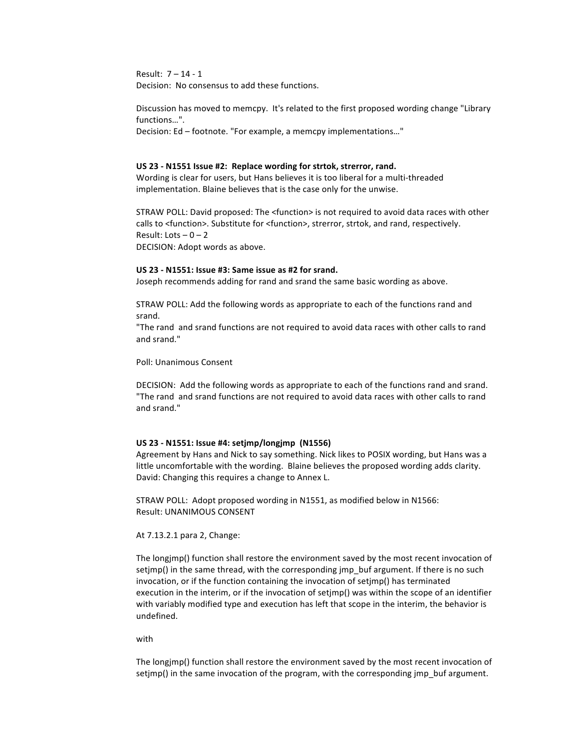Result: 7 – 14 - 1 Decision: No consensus to add these functions.

Discussion has moved to memcpy. It's related to the first proposed wording change "Library functions...".

Decision: Ed – footnote. "For example, a memcpy implementations..."

#### **US 23 - N1551 Issue #2: Replace wording for strtok, strerror, rand.**

Wording is clear for users, but Hans believes it is too liberal for a multi-threaded implementation. Blaine believes that is the case only for the unwise.

STRAW POLL: David proposed: The <function> is not required to avoid data races with other calls to <function>. Substitute for <function>, strerror, strtok, and rand, respectively. Result: Lots  $-0 - 2$ DECISION: Adopt words as above.

#### **US%23%2 N1551:%Issue%#3:%Same%issue%as%#2%for%srand.**

Joseph recommends adding for rand and srand the same basic wording as above.

STRAW POLL: Add the following words as appropriate to each of the functions rand and srand.

"The rand and srand functions are not required to avoid data races with other calls to rand and srand."

Poll: Unanimous Consent

DECISION: Add the following words as appropriate to each of the functions rand and srand. "The rand and srand functions are not required to avoid data races with other calls to rand and srand."

#### **US%23%2 N1551:%Issue%#4:%setjmp/longjmp %(N1556)**

Agreement by Hans and Nick to say something. Nick likes to POSIX wording, but Hans was a little uncomfortable with the wording. Blaine believes the proposed wording adds clarity. David: Changing this requires a change to Annex L.

STRAW POLL: Adopt proposed wording in N1551, as modified below in N1566: Result: UNANIMOUS CONSENT

At 7.13.2.1 para 2, Change:

The longimp() function shall restore the environment saved by the most recent invocation of setjmp() in the same thread, with the corresponding jmp\_buf argument. If there is no such invocation, or if the function containing the invocation of setjmp() has terminated execution in the interim, or if the invocation of setjmp() was within the scope of an identifier with variably modified type and execution has left that scope in the interim, the behavior is undefined.

#### with

The longjmp() function shall restore the environment saved by the most recent invocation of setjmp() in the same invocation of the program, with the corresponding jmp\_buf argument.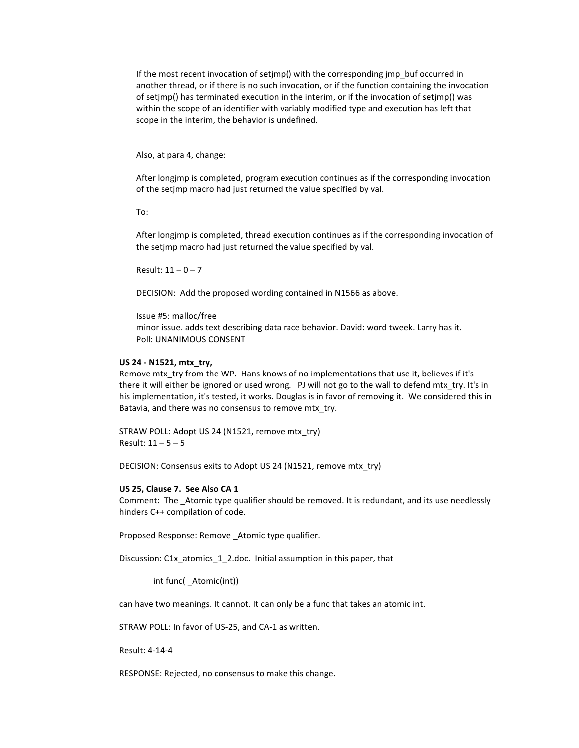If the most recent invocation of setjmp() with the corresponding  $jmp$  buf occurred in another thread, or if there is no such invocation, or if the function containing the invocation of setimp() has terminated execution in the interim, or if the invocation of setimp() was within the scope of an identifier with variably modified type and execution has left that scope in the interim, the behavior is undefined.

Also, at para 4, change:

After longjmp is completed, program execution continues as if the corresponding invocation of the setimp macro had just returned the value specified by val.

To:

After longimp is completed, thread execution continues as if the corresponding invocation of the setjmp macro had just returned the value specified by val.

Result:  $11 - 0 - 7$ 

DECISION: Add the proposed wording contained in N1566 as above.

Issue #5: malloc/free

minor issue. adds text describing data race behavior. David: word tweek. Larry has it. Poll: UNANIMOUS CONSENT

## **US** 24 - N1521, mtx\_try,

Remove mtx try from the WP. Hans knows of no implementations that use it, believes if it's there it will either be ignored or used wrong. [PJ will not go to the wall to defend mtx\_try. It's in his implementation, it's tested, it works. Douglas is in favor of removing it. We considered this in Batavia, and there was no consensus to remove mtx try.

STRAW POLL: Adopt US 24 (N1521, remove mtx\_try) Result:  $11 - 5 - 5$ 

DECISION: Consensus exits to Adopt US 24 (N1521, remove mtx\_try)

#### **US 25, Clause 7. See Also CA 1**

Comment: The Atomic type qualifier should be removed. It is redundant, and its use needlessly hinders C++ compilation of code.

Proposed Response: Remove \_Atomic type qualifier.

Discussion: C1x atomics 1 2.doc. Initial assumption in this paper, that

int func(\_Atomic(int))

can have two meanings. It cannot. It can only be a func that takes an atomic int.

STRAW POLL: In favor of US-25, and CA-1 as written.

Result: 4-14-4

RESPONSE: Rejected, no consensus to make this change.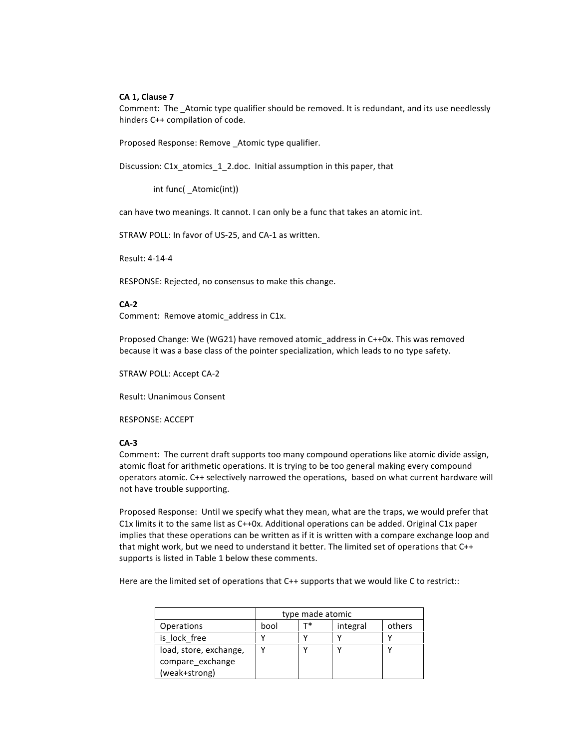## **CA%1,%Clause%7**

Comment: The \_Atomic type qualifier should be removed. It is redundant, and its use needlessly hinders C++ compilation of code.

Proposed Response: Remove \_Atomic type qualifier.

Discussion: C1x\_atomics\_1\_2.doc. Initial assumption in this paper, that

int func( Atomic(int))

can have two meanings. It cannot. I can only be a func that takes an atomic int.

STRAW POLL: In favor of US-25, and CA-1 as written.

Result: 4-14-4

RESPONSE: Rejected, no consensus to make this change.

## **CA22**

Comment: Remove atomic address in C1x.

Proposed Change: We (WG21) have removed atomic address in C++0x. This was removed because it was a base class of the pointer specialization, which leads to no type safety.

STRAW POLL: Accept CA-2

Result: Unanimous Consent

RESPONSE: ACCEPT

#### **CA23**

Comment: The current draft supports too many compound operations like atomic divide assign, atomic float for arithmetic operations. It is trying to be too general making every compound operators atomic. C++ selectively narrowed the operations, based on what current hardware will not have trouble supporting.

Proposed Response: Until we specify what they mean, what are the traps, we would prefer that C1x limits it to the same list as C++0x. Additional operations can be added. Original C1x paper implies that these operations can be written as if it is written with a compare exchange loop and that might work, but we need to understand it better. The limited set of operations that C++ supports is listed in Table 1 below these comments.

Here are the limited set of operations that C++ supports that we would like C to restrict::

|                        | type made atomic |  |          |        |
|------------------------|------------------|--|----------|--------|
| <b>Operations</b>      | bool             |  | integral | others |
| is lock free           |                  |  |          |        |
| load, store, exchange, |                  |  |          |        |
| compare exchange       |                  |  |          |        |
| (weak+strong)          |                  |  |          |        |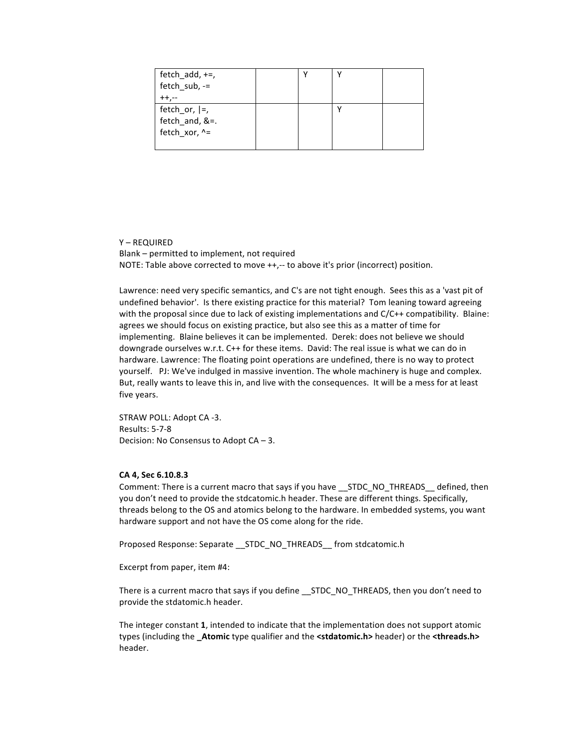| fetch_add, +=,   |  |  |
|------------------|--|--|
| fetch_sub, -=    |  |  |
|                  |  |  |
| fetch_or, $ =$ , |  |  |
| fetch_and, &=.   |  |  |
| fetch_xor, ^=    |  |  |
|                  |  |  |

 $Y - REOUNRED$ Blank - permitted to implement, not required NOTE: Table above corrected to move ++,-- to above it's prior (incorrect) position.

Lawrence: need very specific semantics, and C's are not tight enough. Sees this as a 'vast pit of undefined behavior'. Is there existing practice for this material? Tom leaning toward agreeing with the proposal since due to lack of existing implementations and C/C++ compatibility. Blaine: agrees we should focus on existing practice, but also see this as a matter of time for implementing. Blaine believes it can be implemented. Derek: does not believe we should downgrade ourselves w.r.t. C++ for these items. David: The real issue is what we can do in hardware. Lawrence: The floating point operations are undefined, there is no way to protect yourself. PJ: We've indulged in massive invention. The whole machinery is huge and complex. But, really wants to leave this in, and live with the consequences. It will be a mess for at least five years.

STRAW POLL: Adopt CA -3. **Results: 5-7-8** Decision: No Consensus to Adopt CA - 3.

## CA 4, Sec 6.10.8.3

Comment: There is a current macro that says if you have STDC NO THREADS defined, then you don't need to provide the stdcatomic.h header. These are different things. Specifically, threads belong to the OS and atomics belong to the hardware. In embedded systems, you want hardware support and not have the OS come along for the ride.

Proposed Response: Separate \_\_ STDC\_NO\_THREADS\_\_ from stdcatomic.h

Excerpt from paper, item #4:

There is a current macro that says if you define \_\_ STDC\_NO\_THREADS, then you don't need to provide the stdatomic.h header.

The integer constant 1, intended to indicate that the implementation does not support atomic types (including the \_Atomic type qualifier and the <stdatomic.h> header) or the <threads.h> header.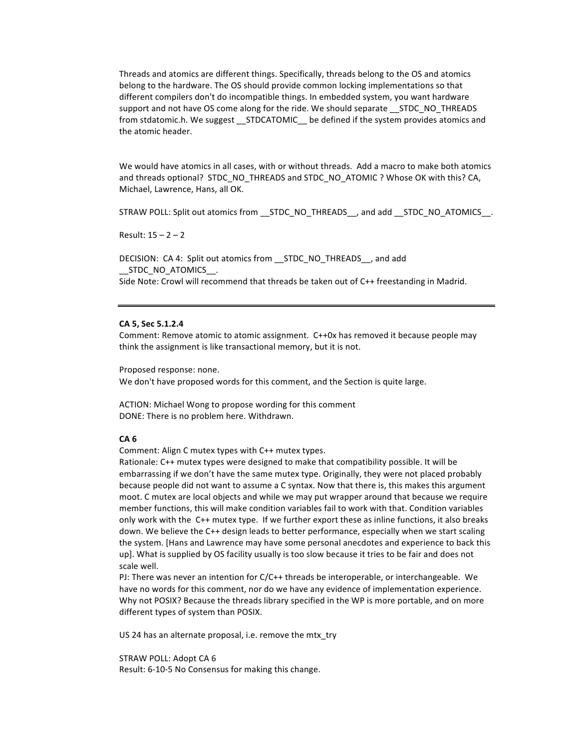Threads and atomics are different things. Specifically, threads belong to the OS and atomics belong to the hardware. The OS should provide common locking implementations so that different compilers don't do incompatible things. In embedded system, you want hardware support and not have OS come along for the ride. We should separate STDC NO THREADS from stdatomic.h. We suggest \_\_STDCATOMIC\_\_ be defined if the system provides atomics and the atomic header.

We would have atomics in all cases, with or without threads. Add a macro to make both atomics and threads optional? STDC\_NO\_THREADS and STDC\_NO\_ATOMIC ? Whose OK with this? CA, Michael, Lawrence, Hans, all OK.

STRAW POLL: Split out atomics from \_\_STDC\_NO\_THREADS\_\_, and add \_\_STDC\_NO\_ATOMICS\_\_.

Result:  $15 - 2 - 2$ 

DECISION: CA 4: Split out atomics from \_\_ STDC\_NO\_THREADS\_\_, and add STDC NO ATOMICS . Side Note: Crowl will recommend that threads be taken out of C++ freestanding in Madrid.

#### CA 5, Sec 5.1.2.4

Comment: Remove atomic to atomic assignment. C++0x has removed it because people may think the assignment is like transactional memory, but it is not.

Proposed response: none. We don't have proposed words for this comment, and the Section is quite large.

ACTION: Michael Wong to propose wording for this comment DONE: There is no problem here. Withdrawn.

#### CA<sub>6</sub>

Comment: Align C mutex types with C++ mutex types.

Rationale: C++ mutex types were designed to make that compatibility possible. It will be embarrassing if we don't have the same mutex type. Originally, they were not placed probably because people did not want to assume a C syntax. Now that there is, this makes this argument moot. C mutex are local objects and while we may put wrapper around that because we require member functions, this will make condition variables fail to work with that. Condition variables only work with the C++ mutex type. If we further export these as inline functions, it also breaks down. We believe the C++ design leads to better performance, especially when we start scaling the system. [Hans and Lawrence may have some personal anecdotes and experience to back this up]. What is supplied by OS facility usually is too slow because it tries to be fair and does not scale well.

PJ: There was never an intention for C/C++ threads be interoperable, or interchangeable. We have no words for this comment, nor do we have any evidence of implementation experience. Why not POSIX? Because the threads library specified in the WP is more portable, and on more different types of system than POSIX.

US 24 has an alternate proposal, i.e. remove the mtx try

STRAW POLL: Adopt CA 6 Result: 6-10-5 No Consensus for making this change.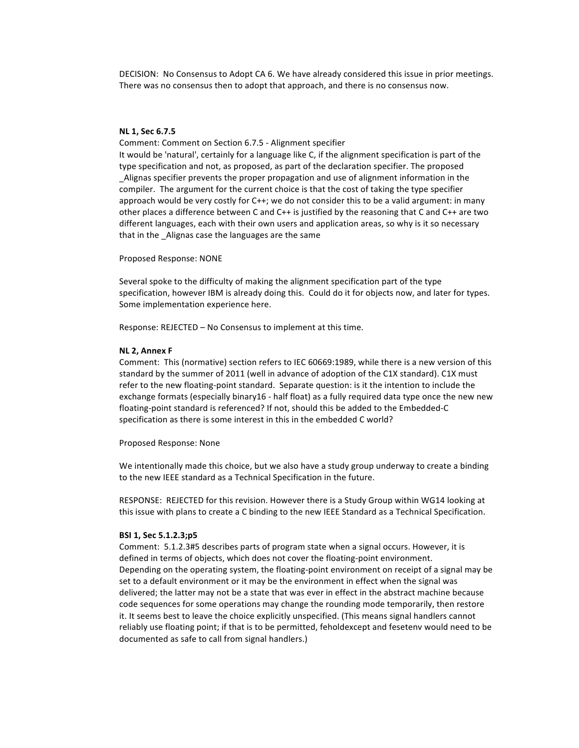DECISION: No Consensus to Adopt CA 6. We have already considered this issue in prior meetings. There was no consensus then to adopt that approach, and there is no consensus now.

#### **NL%1,%Sec%6.7.5**

Comment: Comment on Section 6.7.5 - Alignment specifier

It would be 'natural', certainly for a language like C, if the alignment specification is part of the type specification and not, as proposed, as part of the declaration specifier. The proposed \_Alignas specifier prevents the proper propagation and use of alignment information in the compiler. The argument for the current choice is that the cost of taking the type specifier approach would be very costly for C++; we do not consider this to be a valid argument: in many other places a difference between C and C++ is justified by the reasoning that C and C++ are two different languages, each with their own users and application areas, so why is it so necessary that in the Alignas case the languages are the same

Proposed Response: NONE

Several spoke to the difficulty of making the alignment specification part of the type specification, however IBM is already doing this. Could do it for objects now, and later for types. Some implementation experience here.

Response: REJECTED – No Consensus to implement at this time.

#### **NL 2, Annex F**

Comment: This (normative) section refers to IEC 60669:1989, while there is a new version of this standard by the summer of 2011 (well in advance of adoption of the C1X standard). C1X must refer to the new floating-point standard. Separate question: is it the intention to include the exchange formats (especially binary16 - half float) as a fully required data type once the new new floating-point standard is referenced? If not, should this be added to the Embedded-C specification as there is some interest in this in the embedded C world?

Proposed Response: None

We intentionally made this choice, but we also have a study group underway to create a binding to the new IEEE standard as a Technical Specification in the future.

RESPONSE: REJECTED for this revision. However there is a Study Group within WG14 looking at this issue with plans to create a C binding to the new IEEE Standard as a Technical Specification.

#### **BSI%1,%Sec%5.1.2.3;p5**

Comment: 5.1.2.3#5 describes parts of program state when a signal occurs. However, it is defined in terms of objects, which does not cover the floating-point environment. Depending on the operating system, the floating-point environment on receipt of a signal may be set to a default environment or it may be the environment in effect when the signal was delivered; the latter may not be a state that was ever in effect in the abstract machine because code sequences for some operations may change the rounding mode temporarily, then restore it. It seems best to leave the choice explicitly unspecified. (This means signal handlers cannot reliably use floating point; if that is to be permitted, feholdexcept and fesetenv would need to be documented as safe to call from signal handlers.)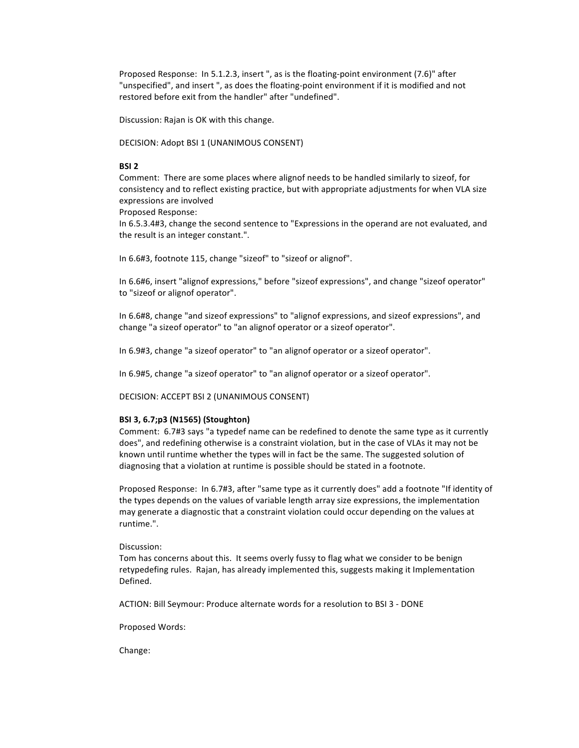Proposed Response: In 5.1.2.3, insert ", as is the floating-point environment (7.6)" after "unspecified", and insert ", as does the floating-point environment if it is modified and not restored before exit from the handler" after "undefined".

Discussion: Rajan is OK with this change.

DECISION: Adopt BSI 1 (UNANIMOUS CONSENT)

## **BSI%2**

Comment: There are some places where alignof needs to be handled similarly to sizeof, for consistency and to reflect existing practice, but with appropriate adjustments for when VLA size expressions are involved

Proposed Response:

In 6.5.3.4#3, change the second sentence to "Expressions in the operand are not evaluated, and the result is an integer constant.".

In 6.6#3, footnote 115, change "sizeof" to "sizeof or alignof".

In 6.6#6, insert "alignof expressions," before "sizeof expressions", and change "sizeof operator" to "sizeof or alignof operator".

In 6.6#8, change "and sizeof expressions" to "alignof expressions, and sizeof expressions", and change "a sizeof operator" to "an alignof operator or a sizeof operator".

In 6.9#3, change "a sizeof operator" to "an alignof operator or a sizeof operator".

In 6.9#5, change "a sizeof operator" to "an alignof operator or a sizeof operator".

DECISION: ACCEPT BSI 2 (UNANIMOUS CONSENT)

## **BSI%3,%6.7;p3%(N1565)%(Stoughton)**

Comment: 6.7#3 says "a typedef name can be redefined to denote the same type as it currently does", and redefining otherwise is a constraint violation, but in the case of VLAs it may not be known until runtime whether the types will in fact be the same. The suggested solution of diagnosing that a violation at runtime is possible should be stated in a footnote.

Proposed Response: In 6.7#3, after "same type as it currently does" add a footnote "If identity of the types depends on the values of variable length array size expressions, the implementation may generate a diagnostic that a constraint violation could occur depending on the values at runtime.".

Discussion:

Tom has concerns about this. It seems overly fussy to flag what we consider to be benign retypedefing rules. Rajan, has already implemented this, suggests making it Implementation Defined.

ACTION: Bill Seymour: Produce alternate words for a resolution to BSI 3 - DONE

Proposed Words:

Change: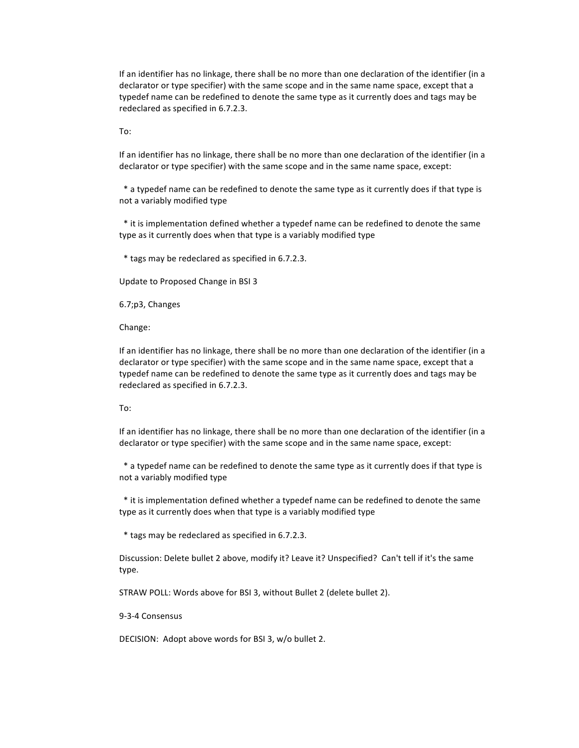If an identifier has no linkage, there shall be no more than one declaration of the identifier (in a declarator or type specifier) with the same scope and in the same name space, except that a typedef name can be redefined to denote the same type as it currently does and tags may be redeclared as specified in 6.7.2.3.

To:

If an identifier has no linkage, there shall be no more than one declaration of the identifier (in a declarator or type specifier) with the same scope and in the same name space, except:

\* a typedef name can be redefined to denote the same type as it currently does if that type is not a variably modified type

\* it is implementation defined whether a typedef name can be redefined to denote the same type as it currently does when that type is a variably modified type

\* tags may be redeclared as specified in 6.7.2.3.

Update to Proposed Change in BSI 3

6.7;p3, Changes

Change:

If an identifier has no linkage, there shall be no more than one declaration of the identifier (in a declarator or type specifier) with the same scope and in the same name space, except that a typedef name can be redefined to denote the same type as it currently does and tags may be redeclared as specified in 6.7.2.3.

#### To:

If an identifier has no linkage, there shall be no more than one declaration of the identifier (in a declarator or type specifier) with the same scope and in the same name space, except:

\* a typedef name can be redefined to denote the same type as it currently does if that type is not a variably modified type

\* it is implementation defined whether a typedef name can be redefined to denote the same type as it currently does when that type is a variably modified type

\* tags may be redeclared as specified in 6.7.2.3.

Discussion: Delete bullet 2 above, modify it? Leave it? Unspecified? Can't tell if it's the same type.

STRAW POLL: Words above for BSI 3, without Bullet 2 (delete bullet 2).

9-3-4 Consensus

DECISION: Adopt above words for BSI 3, w/o bullet 2.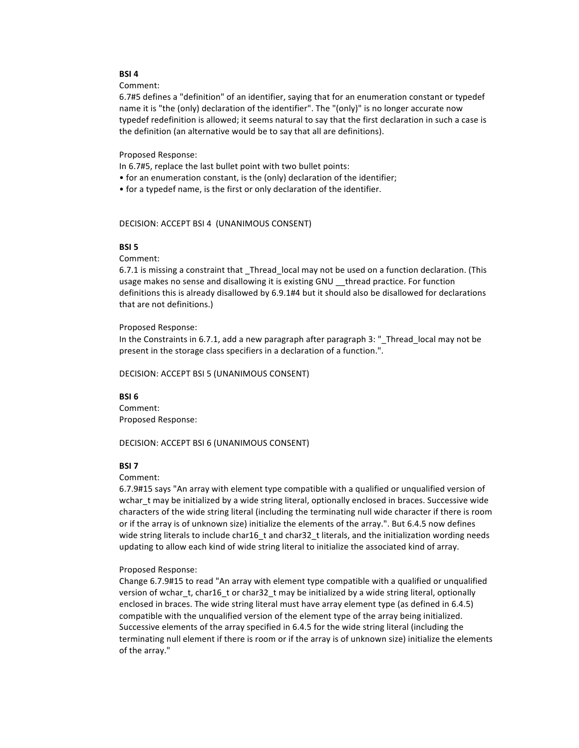## **BSI%4**

Comment:

6.7#5 defines a "definition" of an identifier, saying that for an enumeration constant or typedef name it is "the (only) declaration of the identifier". The "(only)" is no longer accurate now typedef redefinition is allowed; it seems natural to say that the first declaration in such a case is the definition (an alternative would be to say that all are definitions).

Proposed Response:

In 6.7#5, replace the last bullet point with two bullet points:

- for an enumeration constant, is the (only) declaration of the identifier;
- for a typedef name, is the first or only declaration of the identifier.

## DECISION: ACCEPT BSI 4 (UNANIMOUS CONSENT)

#### **BSI 5**

Comment:

6.7.1 is missing a constraint that \_Thread\_local may not be used on a function declaration. (This usage makes no sense and disallowing it is existing GNU thread practice. For function definitions this is already disallowed by 6.9.1#4 but it should also be disallowed for declarations that are not definitions.)

## Proposed Response:

In the Constraints in 6.7.1, add a new paragraph after paragraph  $3:$  "Thread local may not be present in the storage class specifiers in a declaration of a function.".

DECISION: ACCEPT BSI 5 (UNANIMOUS CONSENT)

#### **BSI%6**

Comment: Proposed Response:

DECISION: ACCEPT BSI 6 (UNANIMOUS CONSENT)

#### **BSI 7**

Comment:

6.7.9#15 says "An array with element type compatible with a qualified or unqualified version of wchar t may be initialized by a wide string literal, optionally enclosed in braces. Successive wide characters of the wide string literal (including the terminating null wide character if there is room or if the array is of unknown size) initialize the elements of the array.". But 6.4.5 now defines wide string literals to include char16\_t and char32\_t literals, and the initialization wording needs updating to allow each kind of wide string literal to initialize the associated kind of array.

#### Proposed Response:

Change 6.7.9#15 to read "An array with element type compatible with a qualified or unqualified version of wchar\_t, char16\_t or char32\_t may be initialized by a wide string literal, optionally enclosed in braces. The wide string literal must have array element type (as defined in 6.4.5) compatible with the unqualified version of the element type of the array being initialized. Successive elements of the array specified in 6.4.5 for the wide string literal (including the terminating null element if there is room or if the array is of unknown size) initialize the elements of the array."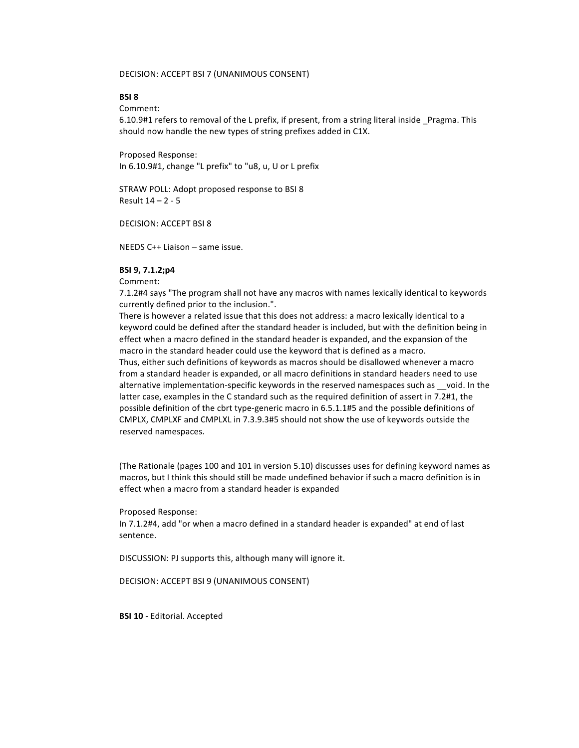DECISION: ACCEPT BSI 7 (UNANIMOUS CONSENT)

## **BSI%8**

Comment:

6.10.9#1 refers to removal of the L prefix, if present, from a string literal inside \_Pragma. This should now handle the new types of string prefixes added in C1X.

Proposed Response: In 6.10.9#1, change "L prefix" to "u8, u, U or L prefix

STRAW POLL: Adopt proposed response to BSI 8 Result  $14 - 2 - 5$ 

DECISION: ACCEPT BSI 8

NEEDS C++ Liaison – same issue.

#### **BSI%9,%7.1.2;p4**

Comment:

7.1.2#4 says "The program shall not have any macros with names lexically identical to keywords currently defined prior to the inclusion.".

There is however a related issue that this does not address: a macro lexically identical to a keyword could be defined after the standard header is included, but with the definition being in effect when a macro defined in the standard header is expanded, and the expansion of the macro in the standard header could use the keyword that is defined as a macro.

Thus, either such definitions of keywords as macros should be disallowed whenever a macro from a standard header is expanded, or all macro definitions in standard headers need to use alternative implementation-specific keywords in the reserved namespaces such as \_void. In the latter case, examples in the C standard such as the required definition of assert in 7.2#1, the possible definition of the cbrt type-generic macro in 6.5.1.1#5 and the possible definitions of CMPLX, CMPLXF and CMPLXL in 7.3.9.3#5 should not show the use of keywords outside the reserved namespaces.

(The Rationale (pages 100 and 101 in version 5.10) discusses uses for defining keyword names as macros, but I think this should still be made undefined behavior if such a macro definition is in effect when a macro from a standard header is expanded

#### Proposed Response:

In 7.1.2#4, add "or when a macro defined in a standard header is expanded" at end of last sentence.

DISCUSSION: PJ supports this, although many will ignore it.

DECISION: ACCEPT BSI 9 (UNANIMOUS CONSENT)

**BSI 10** - Editorial. Accepted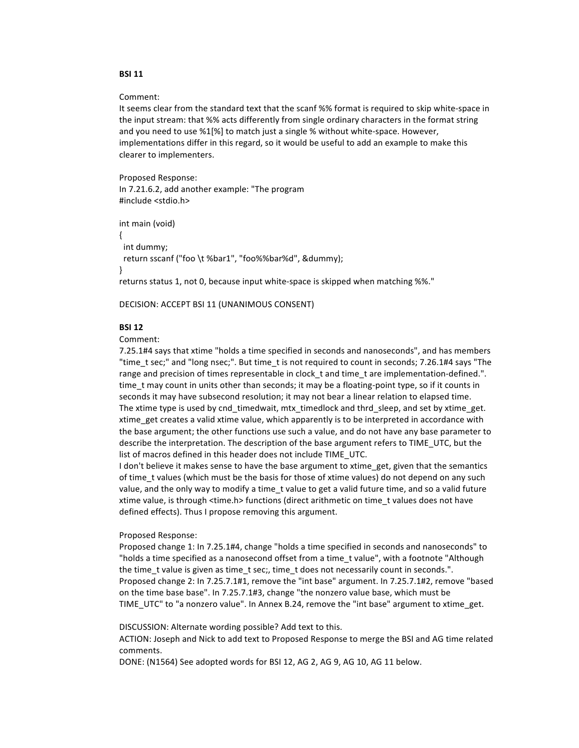## **BSI 11**

#### Comment:

It seems clear from the standard text that the scanf %% format is required to skip white-space in the input stream: that %% acts differently from single ordinary characters in the format string and you need to use %1[%] to match just a single % without white-space. However, implementations differ in this regard, so it would be useful to add an example to make this clearer to implementers.

Proposed Response: In 7.21.6.2, add another example: "The program #include <stdio.h>

int main (void)  $\left\{ \right.$ int dummy; return sscanf ("foo \t %bar1", "foo%%bar%d", &dummy); ł returns status 1, not 0, because input white-space is skipped when matching %%."

DECISION: ACCEPT BSI 11 (UNANIMOUS CONSENT)

## **BSI 12**

Comment:

7.25.1#4 says that xtime "holds a time specified in seconds and nanoseconds", and has members "time\_t sec;" and "long nsec;". But time\_t is not required to count in seconds; 7.26.1#4 says "The range and precision of times representable in clock\_t and time\_t are implementation-defined.". time\_t may count in units other than seconds; it may be a floating-point type, so if it counts in seconds it may have subsecond resolution; it may not bear a linear relation to elapsed time. The xtime type is used by cnd timedwait, mtx timedlock and thrd sleep, and set by xtime get. xtime\_get creates a valid xtime value, which apparently is to be interpreted in accordance with the base argument; the other functions use such a value, and do not have any base parameter to describe the interpretation. The description of the base argument refers to TIME UTC, but the list of macros defined in this header does not include TIME UTC.

I don't believe it makes sense to have the base argument to xtime get, given that the semantics of time\_t values (which must be the basis for those of xtime values) do not depend on any such value, and the only way to modify a time t value to get a valid future time, and so a valid future xtime value, is through <time.h> functions (direct arithmetic on time t values does not have defined effects). Thus I propose removing this argument.

#### Proposed Response:

Proposed change 1: In 7.25.1#4, change "holds a time specified in seconds and nanoseconds" to "holds a time specified as a nanosecond offset from a time t value", with a footnote "Although the time t value is given as time t sec;, time t does not necessarily count in seconds.". Proposed change 2: In 7.25.7.1#1, remove the "int base" argument. In 7.25.7.1#2, remove "based on the time base base". In 7.25.7.1#3, change "the nonzero value base, which must be TIME UTC" to "a nonzero value". In Annex B.24, remove the "int base" argument to xtime get.

DISCUSSION: Alternate wording possible? Add text to this.

ACTION: Joseph and Nick to add text to Proposed Response to merge the BSI and AG time related comments.

DONE: (N1564) See adopted words for BSI 12, AG 2, AG 9, AG 10, AG 11 below.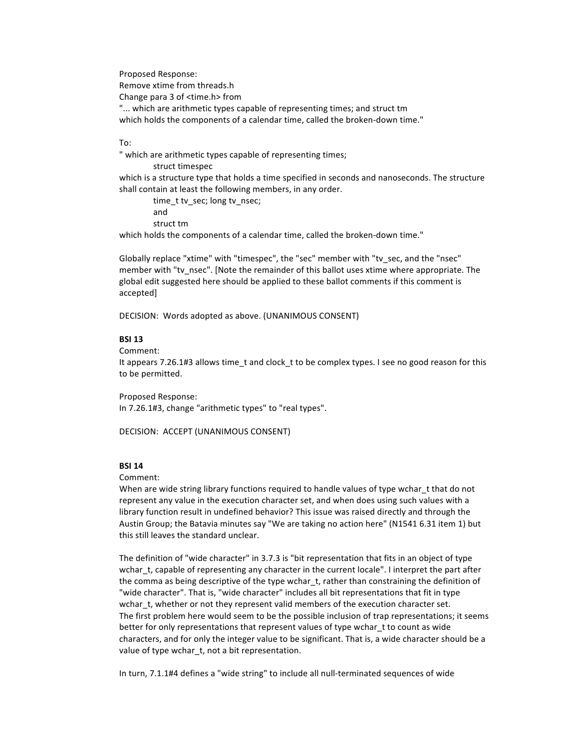Proposed Response: Remove xtime from threads.h Change para 3 of <time.h> from "... which are arithmetic types capable of representing times; and struct tm which holds the components of a calendar time, called the broken-down time."

## To:

" which are arithmetic types capable of representing times; struct timespec which is a structure type that holds a time specified in seconds and nanoseconds. The structure shall contain at least the following members, in any order.

time t tv sec; long tv nsec; and struct tm which holds the components of a calendar time, called the broken-down time."

Globally replace "xtime" with "timespec", the "sec" member with "tv\_sec, and the "nsec" member with "tv\_nsec". [Note the remainder of this ballot uses xtime where appropriate. The global edit suggested here should be applied to these ballot comments if this comment is accepted]

DECISION: Words adopted as above. (UNANIMOUS CONSENT)

## **BSI%13**

Comment:

It appears 7.26.1#3 allows time\_t and clock\_t to be complex types. I see no good reason for this to be permitted.

Proposed Response:

In 7.26.1#3, change "arithmetic types" to "real types".

DECISION: ACCEPT (UNANIMOUS CONSENT)

## **BSI%14**

Comment:

When are wide string library functions required to handle values of type wchar t that do not represent any value in the execution character set, and when does using such values with a library function result in undefined behavior? This issue was raised directly and through the Austin Group; the Batavia minutes say "We are taking no action here" (N1541 6.31 item 1) but this still leaves the standard unclear.

The definition of "wide character" in 3.7.3 is "bit representation that fits in an object of type wchar t, capable of representing any character in the current locale". I interpret the part after the comma as being descriptive of the type wchar\_t, rather than constraining the definition of "wide character". That is, "wide character" includes all bit representations that fit in type wchar t, whether or not they represent valid members of the execution character set. The first problem here would seem to be the possible inclusion of trap representations; it seems better for only representations that represent values of type wchar\_t to count as wide characters, and for only the integer value to be significant. That is, a wide character should be a value of type wchar t, not a bit representation.

In turn, 7.1.1#4 defines a "wide string" to include all null-terminated sequences of wide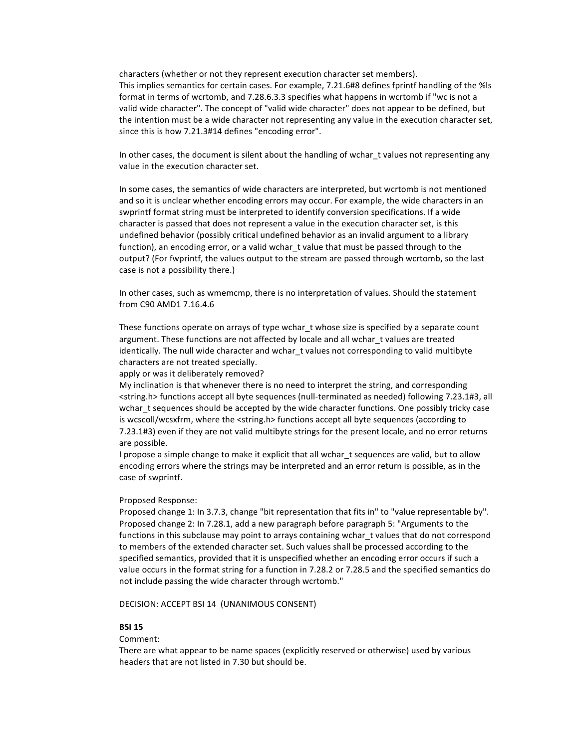characters (whether or not they represent execution character set members). This implies semantics for certain cases. For example, 7.21.6#8 defines fprintf handling of the %ls format in terms of wcrtomb, and 7.28.6.3.3 specifies what happens in wcrtomb if "wc is not a valid wide character". The concept of "valid wide character" does not appear to be defined, but the intention must be a wide character not representing any value in the execution character set, since this is how 7.21.3#14 defines "encoding error".

In other cases, the document is silent about the handling of wchar\_t values not representing any value in the execution character set.

In some cases, the semantics of wide characters are interpreted, but wcrtomb is not mentioned and so it is unclear whether encoding errors may occur. For example, the wide characters in an swprintf format string must be interpreted to identify conversion specifications. If a wide character is passed that does not represent a value in the execution character set, is this undefined behavior (possibly critical undefined behavior as an invalid argument to a library function), an encoding error, or a valid wchar t value that must be passed through to the output? (For fwprintf, the values output to the stream are passed through wcrtomb, so the last case is not a possibility there.)

In other cases, such as wmemcmp, there is no interpretation of values. Should the statement from C90 AMD1 7.16.4.6

These functions operate on arrays of type wchar\_t whose size is specified by a separate count argument. These functions are not affected by locale and all wchar t values are treated identically. The null wide character and wchar t values not corresponding to valid multibyte characters are not treated specially.

#### apply or was it deliberately removed?

My inclination is that whenever there is no need to interpret the string, and corresponding <string.h> functions accept all byte sequences (null-terminated as needed) following 7.23.1#3, all wchar t sequences should be accepted by the wide character functions. One possibly tricky case is wcscoll/wcsxfrm, where the <string.h> functions accept all byte sequences (according to 7.23.1#3) even if they are not valid multibyte strings for the present locale, and no error returns are possible.

I propose a simple change to make it explicit that all wchar\_t sequences are valid, but to allow encoding errors where the strings may be interpreted and an error return is possible, as in the case of swprintf.

#### Proposed Response:

Proposed change 1: In 3.7.3, change "bit representation that fits in" to "value representable by". Proposed change 2: In 7.28.1, add a new paragraph before paragraph 5: "Arguments to the functions in this subclause may point to arrays containing wchar\_t values that do not correspond to members of the extended character set. Such values shall be processed according to the specified semantics, provided that it is unspecified whether an encoding error occurs if such a value occurs in the format string for a function in 7.28.2 or 7.28.5 and the specified semantics do not include passing the wide character through wcrtomb."

DECISION: ACCEPT BSI 14 (UNANIMOUS CONSENT)

## **BSI%15**

## Comment:

There are what appear to be name spaces (explicitly reserved or otherwise) used by various headers that are not listed in 7.30 but should be.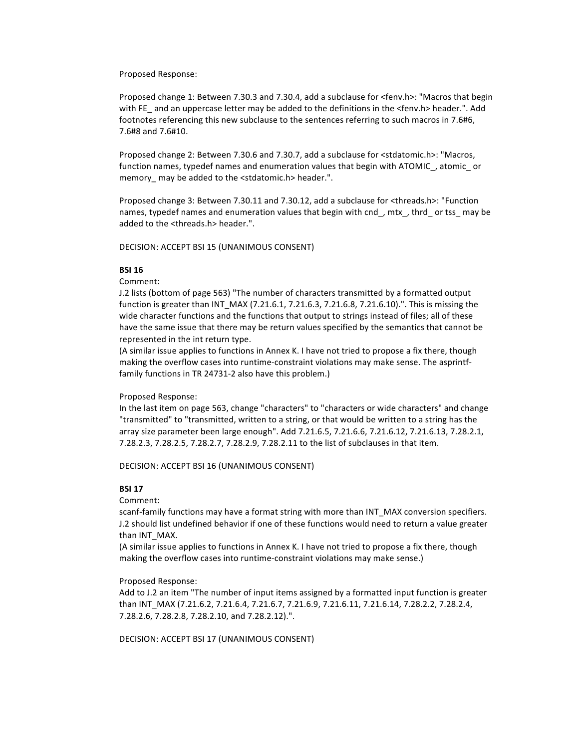#### Proposed Response:

Proposed change 1: Between 7.30.3 and 7.30.4, add a subclause for <fenv.h>: "Macros that begin with FE\_ and an uppercase letter may be added to the definitions in the <fenv.h> header.". Add footnotes referencing this new subclause to the sentences referring to such macros in 7.6#6, 7.6#8 and 7.6#10.

Proposed change 2: Between 7.30.6 and 7.30.7, add a subclause for <stdatomic.h>: "Macros, function names, typedef names and enumeration values that begin with ATOMIC\_, atomic\_ or memory\_may be added to the <stdatomic.h> header.".

Proposed change 3: Between 7.30.11 and 7.30.12, add a subclause for <threads.h>: "Function names, typedef names and enumeration values that begin with cnd\_, mtx\_, thrd\_ or tss\_ may be added to the <threads.h> header.".

DECISION: ACCEPT BSI 15 (UNANIMOUS CONSENT)

## **BSI%16**

Comment:

J.2 lists (bottom of page 563) "The number of characters transmitted by a formatted output function is greater than INT\_MAX (7.21.6.1, 7.21.6.3, 7.21.6.8, 7.21.6.10).". This is missing the wide character functions and the functions that output to strings instead of files; all of these have the same issue that there may be return values specified by the semantics that cannot be represented in the int return type.

(A similar issue applies to functions in Annex K. I have not tried to propose a fix there, though making the overflow cases into runtime-constraint violations may make sense. The asprintffamily functions in TR 24731-2 also have this problem.)

## Proposed Response:

In the last item on page 563, change "characters" to "characters or wide characters" and change "transmitted" to "transmitted, written to a string, or that would be written to a string has the array size parameter been large enough". Add 7.21.6.5, 7.21.6.6, 7.21.6.12, 7.21.6.13, 7.28.2.1, 7.28.2.3, 7.28.2.5, 7.28.2.7, 7.28.2.9, 7.28.2.11 to the list of subclauses in that item.

DECISION: ACCEPT BSI 16 (UNANIMOUS CONSENT)

## **BSI%17**

Comment:

scanf-family functions may have a format string with more than INT\_MAX conversion specifiers. J.2 should list undefined behavior if one of these functions would need to return a value greater than INT\_MAX.

(A similar issue applies to functions in Annex K. I have not tried to propose a fix there, though making the overflow cases into runtime-constraint violations may make sense.)

## Proposed Response:

Add to J.2 an item "The number of input items assigned by a formatted input function is greater than INT\_MAX (7.21.6.2, 7.21.6.4, 7.21.6.7, 7.21.6.9, 7.21.6.11, 7.21.6.14, 7.28.2.2, 7.28.2.4, 7.28.2.6, 7.28.2.8, 7.28.2.10, and 7.28.2.12).".

DECISION: ACCEPT BSI 17 (UNANIMOUS CONSENT)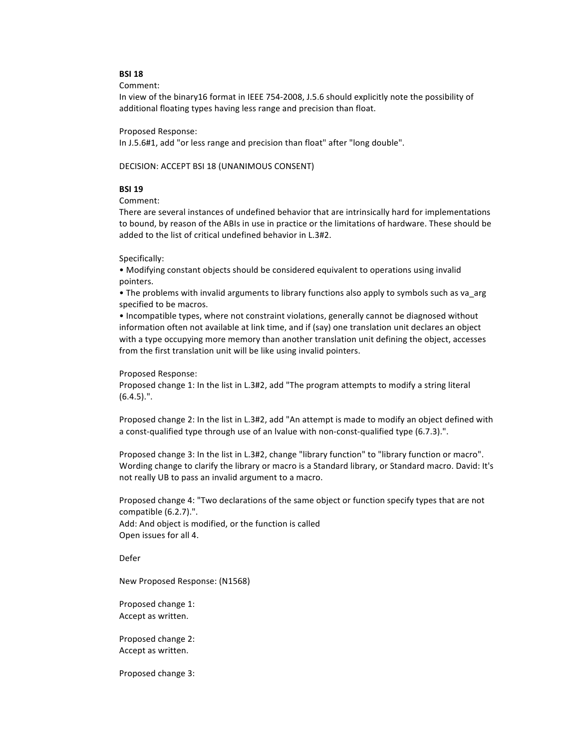## **BSI%18**

Comment:

In view of the binary16 format in IEEE 754-2008, J.5.6 should explicitly note the possibility of additional floating types having less range and precision than float.

#### Proposed Response:

In J.5.6#1, add "or less range and precision than float" after "long double".

DECISION: ACCEPT BSI 18 (UNANIMOUS CONSENT)

## **BSI%19**

Comment:

There are several instances of undefined behavior that are intrinsically hard for implementations to bound, by reason of the ABIs in use in practice or the limitations of hardware. These should be added to the list of critical undefined behavior in L.3#2.

#### Specifically:

• Modifying constant objects should be considered equivalent to operations using invalid pointers.

• The problems with invalid arguments to library functions also apply to symbols such as va\_arg specified to be macros.

• Incompatible types, where not constraint violations, generally cannot be diagnosed without information often not available at link time, and if (say) one translation unit declares an object with a type occupying more memory than another translation unit defining the object, accesses from the first translation unit will be like using invalid pointers.

Proposed Response:

Proposed change 1: In the list in L.3#2, add "The program attempts to modify a string literal (6.4.5).".

Proposed change 2: In the list in L.3#2, add "An attempt is made to modify an object defined with a const-qualified type through use of an Ivalue with non-const-qualified type (6.7.3).".

Proposed change 3: In the list in L.3#2, change "library function" to "library function or macro". Wording change to clarify the library or macro is a Standard library, or Standard macro. David: It's not really UB to pass an invalid argument to a macro.

Proposed change 4: "Two declarations of the same object or function specify types that are not compatible  $(6.2.7)$ .". Add: And object is modified, or the function is called Open issues for all 4.

Defer

New Proposed Response: (N1568)

Proposed change 1: Accept as written.

Proposed change 2: Accept as written.

Proposed change 3: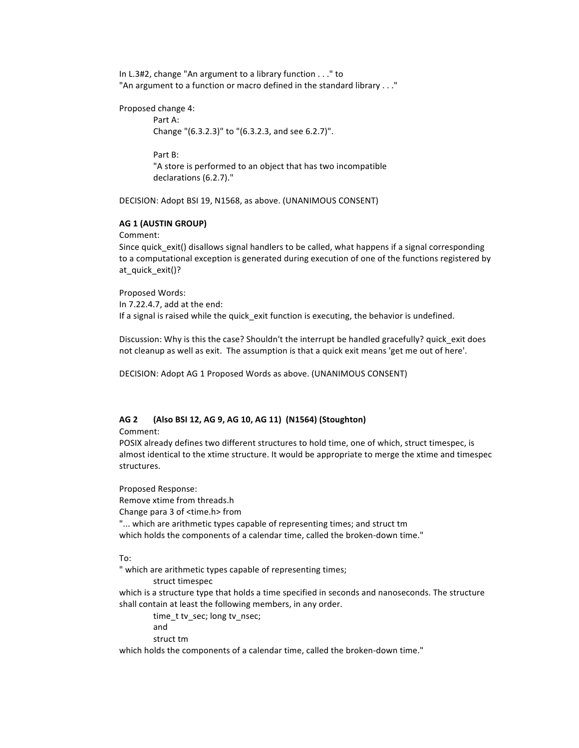In  $L.3#2$ , change "An argument to a library function . . ." to "An argument to a function or macro defined in the standard library . . ."

Proposed change 4:

Part A: Change "(6.3.2.3)" to "(6.3.2.3, and see 6.2.7)".

Part B: "A store is performed to an object that has two incompatible declarations (6.2.7)."

DECISION: Adopt BSI 19, N1568, as above. (UNANIMOUS CONSENT)

## **AG%1%(AUSTIN%GROUP)**

Comment:

Since quick exit() disallows signal handlers to be called, what happens if a signal corresponding to a computational exception is generated during execution of one of the functions registered by at quick exit()?

Proposed Words: In 7.22.4.7, add at the end: If a signal is raised while the quick exit function is executing, the behavior is undefined.

Discussion: Why is this the case? Shouldn't the interrupt be handled gracefully? quick exit does not cleanup as well as exit. The assumption is that a quick exit means 'get me out of here'.

DECISION: Adopt AG 1 Proposed Words as above. (UNANIMOUS CONSENT)

## **AG%2 (Also%BSI%12,%AG%9,%AG%10,%AG%11) %(N1564)%(Stoughton)**

Comment:

POSIX already defines two different structures to hold time, one of which, struct timespec, is almost identical to the xtime structure. It would be appropriate to merge the xtime and timespec structures.

Proposed Response: Remove xtime from threads.h Change para 3 of <time.h> from "... which are arithmetic types capable of representing times; and struct tm which holds the components of a calendar time, called the broken-down time."

To:

" which are arithmetic types capable of representing times;

struct timespec

which is a structure type that holds a time specified in seconds and nanoseconds. The structure shall contain at least the following members, in any order.

time\_t tv\_sec; long tv\_nsec; and struct tm

which holds the components of a calendar time, called the broken-down time."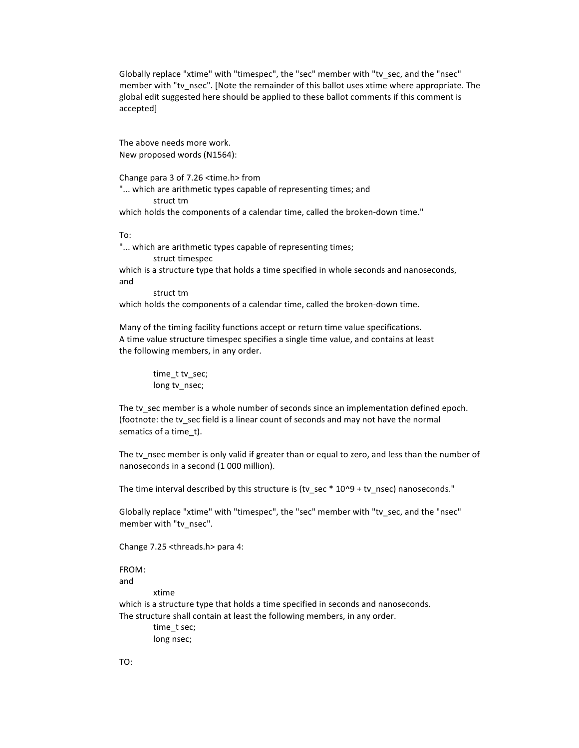Globally replace "xtime" with "timespec", the "sec" member with "tv\_sec, and the "nsec" member with "tv\_nsec". [Note the remainder of this ballot uses xtime where appropriate. The global edit suggested here should be applied to these ballot comments if this comment is accepted]

The above needs more work. New proposed words (N1564):

Change para 3 of 7.26 <time.h> from

"... which are arithmetic types capable of representing times; and struct tm

which holds the components of a calendar time, called the broken-down time."

To:

"... which are arithmetic types capable of representing times; struct timespec

which is a structure type that holds a time specified in whole seconds and nanoseconds, and

struct tm

which holds the components of a calendar time, called the broken-down time.

Many of the timing facility functions accept or return time value specifications. A time value structure timespec specifies a single time value, and contains at least the following members, in any order.

> time\_t tv\_sec; long tv\_nsec;

The tv sec member is a whole number of seconds since an implementation defined epoch. (footnote: the tv\_sec field is a linear count of seconds and may not have the normal sematics of a time t).

The tv\_nsec member is only valid if greater than or equal to zero, and less than the number of nanoseconds in a second (1 000 million).

The time interval described by this structure is (tv\_sec \* 10^9 + tv\_nsec) nanoseconds."

Globally replace "xtime" with "timespec", the "sec" member with "tv\_sec, and the "nsec" member with "tv\_nsec".

Change 7.25 <threads.h> para 4:

FROM: and

xtime

which is a structure type that holds a time specified in seconds and nanoseconds. The structure shall contain at least the following members, in any order.

> time\_t sec; long nsec;

TO: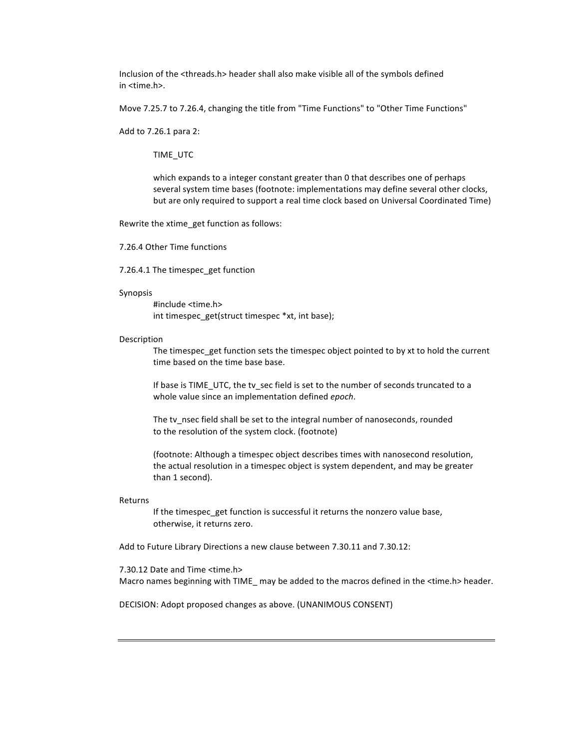Inclusion of the <threads.h> header shall also make visible all of the symbols defined  $in$  <time.h>.

Move 7.25.7 to 7.26.4, changing the title from "Time Functions" to "Other Time Functions"

Add to 7.26.1 para 2:

TIME\_UTC

which expands to a integer constant greater than 0 that describes one of perhaps several system time bases (footnote: implementations may define several other clocks, but are only required to support a real time clock based on Universal Coordinated Time)

Rewrite the xtime\_get function as follows:

7.26.4 Other Time functions

7.26.4.1 The timespec\_get function

#### Synopsis

#include <time.h> int timespec\_get(struct timespec \*xt, int base);

#### Description

The timespec\_get function sets the timespec object pointed to by xt to hold the current time based on the time base base.

If base is TIME\_UTC, the tv\_sec field is set to the number of seconds truncated to a whole value since an implementation defined *epoch*.

The tv\_nsec field shall be set to the integral number of nanoseconds, rounded to the resolution of the system clock. (footnote)

(footnote: Although a timespec object describes times with nanosecond resolution, the actual resolution in a timespec object is system dependent, and may be greater than 1 second).

#### Returns

If the timespec\_get function is successful it returns the nonzero value base, otherwise, it returns zero.

Add to Future Library Directions a new clause between 7.30.11 and 7.30.12:

7.30.12 Date and Time <time.h> Macro names beginning with TIME\_may be added to the macros defined in the <time.h> header.

DECISION: Adopt proposed changes as above. (UNANIMOUS CONSENT)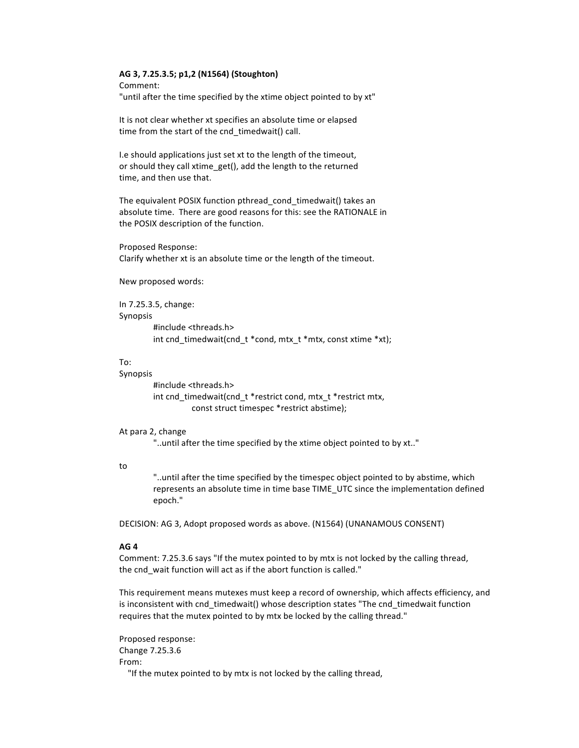#### AG 3, 7.25.3.5; p1,2 (N1564) (Stoughton)

Comment: "until after the time specified by the xtime object pointed to by xt"

It is not clear whether xt specifies an absolute time or elapsed time from the start of the cnd timedwait() call.

I.e should applications just set xt to the length of the timeout, or should they call xtime\_get(), add the length to the returned time, and then use that.

The equivalent POSIX function pthread cond timedwait() takes an absolute time. There are good reasons for this: see the RATIONALE in the POSIX description of the function.

Proposed Response: Clarify whether xt is an absolute time or the length of the timeout.

New proposed words:

In 7.25.3.5, change: Synopsis #include <threads.h> int cnd\_timedwait(cnd\_t \*cond, mtx\_t \*mtx, const xtime \*xt);

## To:

#### Synopsis

#include <threads.h> int cnd timedwait(cnd t \*restrict cond, mtx t \*restrict mtx, const struct timespec \*restrict abstime);

#### At para 2, change

"..until after the time specified by the xtime object pointed to by xt.."

## to

"..until after the time specified by the timespec object pointed to by abstime, which represents an absolute time in time base TIME UTC since the implementation defined epoch."

DECISION: AG 3, Adopt proposed words as above. (N1564) (UNANAMOUS CONSENT)

## AG<sub>4</sub>

Comment: 7.25.3.6 says "If the mutex pointed to by mtx is not locked by the calling thread, the cnd wait function will act as if the abort function is called."

This requirement means mutexes must keep a record of ownership, which affects efficiency, and is inconsistent with cnd timedwait() whose description states "The cnd timedwait function requires that the mutex pointed to by mtx be locked by the calling thread."

Proposed response: Change 7.25.3.6 From: "If the mutex pointed to by mtx is not locked by the calling thread,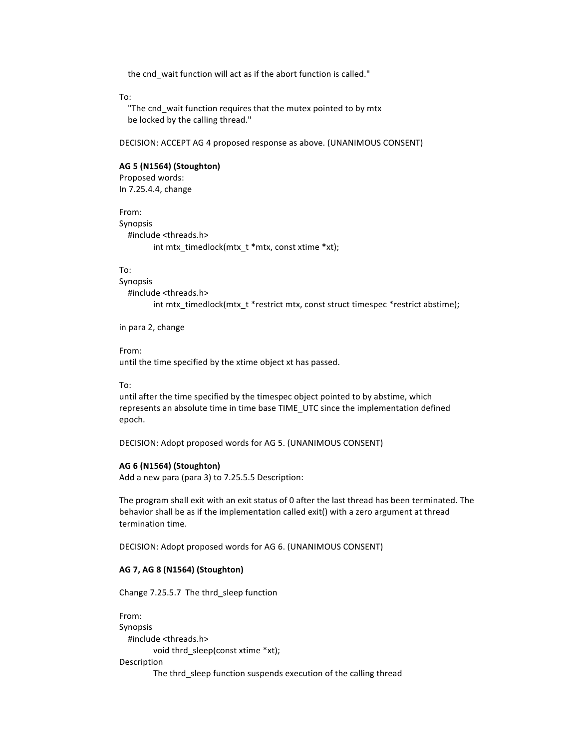the cnd wait function will act as if the abort function is called."

To:

"The cnd\_wait function requires that the mutex pointed to by mtx be locked by the calling thread."

DECISION: ACCEPT AG 4 proposed response as above. (UNANIMOUS CONSENT)

## **AG%5%(N1564)%(Stoughton)**

Proposed words: In 7.25.4.4, change

From: Synopsis #include <threads.h> int mtx\_timedlock(mtx\_t \*mtx, const xtime \*xt);

## To:

Synopsis #include <threads.h> int mtx\_timedlock(mtx\_t \*restrict mtx, const struct timespec \*restrict abstime);

in para 2, change

## From:

until the time specified by the xtime object xt has passed.

#### To:

until after the time specified by the timespec object pointed to by abstime, which represents an absolute time in time base TIME\_UTC since the implementation defined epoch.

DECISION: Adopt proposed words for AG 5. (UNANIMOUS CONSENT)

#### **AG 6%(N1564)%(Stoughton)**

Add a new para (para 3) to 7.25.5.5 Description:

The program shall exit with an exit status of 0 after the last thread has been terminated. The behavior shall be as if the implementation called exit() with a zero argument at thread termination time.

DECISION: Adopt proposed words for AG 6. (UNANIMOUS CONSENT)

## **AG%7,%AG%8%(N1564)%(Stoughton)**

Change 7.25.5.7 The thrd\_sleep function

From: Synopsis #include <threads.h> void thrd sleep(const xtime \*xt); Description The thrd\_sleep function suspends execution of the calling thread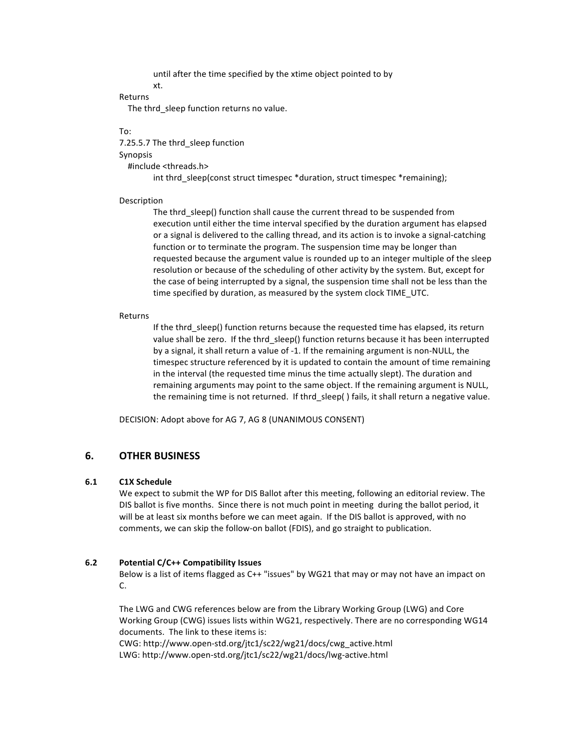until after the time specified by the xtime object pointed to by

## xt.

Returns

The thrd\_sleep function returns no value.

To:

7.25.5.7 The thrd\_sleep function Synopsis #include <threads.h>

int thrd sleep(const struct timespec \*duration, struct timespec \*remaining);

## Description

The thrd sleep() function shall cause the current thread to be suspended from execution until either the time interval specified by the duration argument has elapsed or a signal is delivered to the calling thread, and its action is to invoke a signal-catching function or to terminate the program. The suspension time may be longer than requested because the argument value is rounded up to an integer multiple of the sleep resolution or because of the scheduling of other activity by the system. But, except for the case of being interrupted by a signal, the suspension time shall not be less than the time specified by duration, as measured by the system clock TIME\_UTC.

## Returns

If the thrd\_sleep() function returns because the requested time has elapsed, its return value shall be zero. If the thrd sleep() function returns because it has been interrupted by a signal, it shall return a value of -1. If the remaining argument is non-NULL, the timespec structure referenced by it is updated to contain the amount of time remaining in the interval (the requested time minus the time actually slept). The duration and remaining arguments may point to the same object. If the remaining argument is NULL, the remaining time is not returned. If thrd sleep() fails, it shall return a negative value.

DECISION: Adopt above for AG 7, AG 8 (UNANIMOUS CONSENT)

## **6.% OTHER%BUSINESS**

## **6.1 C1X%Schedule**

We expect to submit the WP for DIS Ballot after this meeting, following an editorial review. The DIS ballot is five months. Since there is not much point in meeting during the ballot period, it will be at least six months before we can meet again. If the DIS ballot is approved, with no comments, we can skip the follow-on ballot (FDIS), and go straight to publication.

## **6.2 Potential C/C++ Compatibility Issues**

Below is a list of items flagged as C++ "issues" by WG21 that may or may not have an impact on  $\mathsf{C}$ 

The LWG and CWG references below are from the Library Working Group (LWG) and Core Working Group (CWG) issues lists within WG21, respectively. There are no corresponding WG14 documents. The link to these items is: CWG: http://www.open-std.org/jtc1/sc22/wg21/docs/cwg\_active.html

LWG: http://www.open-std.org/jtc1/sc22/wg21/docs/lwg-active.html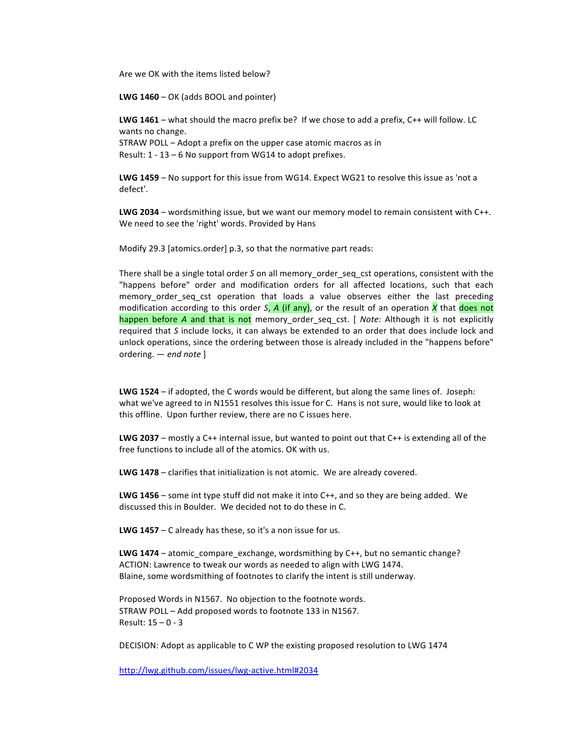Are we OK with the items listed below?

LWG 1460 - OK (adds BOOL and pointer)

LWG 1461 – what should the macro prefix be? If we chose to add a prefix,  $C++$  will follow. LC wants no change.

STRAW POLL - Adopt a prefix on the upper case atomic macros as in Result: 1 - 13 - 6 No support from WG14 to adopt prefixes.

LWG 1459 - No support for this issue from WG14. Expect WG21 to resolve this issue as 'not a defect'.

LWG 2034 - wordsmithing issue, but we want our memory model to remain consistent with C++. We need to see the 'right' words. Provided by Hans

Modify 29.3 [atomics.order] p.3, so that the normative part reads:

There shall be a single total order S on all memory\_order\_seq\_cst operations, consistent with the "happens before" order and modification orders for all affected locations, such that each memory order seq cst operation that loads a value observes either the last preceding modification according to this order S, A (if any), or the result of an operation X that does not happen before A and that is not memory order seq cst. [ Note: Although it is not explicitly required that S include locks, it can always be extended to an order that does include lock and unlock operations, since the ordering between those is already included in the "happens before" ordering.  $-$  end note ]

LWG 1524 – if adopted, the C words would be different, but along the same lines of. Joseph: what we've agreed to in N1551 resolves this issue for C. Hans is not sure, would like to look at this offline. Upon further review, there are no C issues here.

**LWG 2037** – mostly a C++ internal issue, but wanted to point out that C++ is extending all of the free functions to include all of the atomics. OK with us.

LWG 1478 - clarifies that initialization is not atomic. We are already covered.

**LWG 1456** – some int type stuff did not make it into  $C_{++}$ , and so they are being added. We discussed this in Boulder. We decided not to do these in C.

LWG  $1457 - C$  already has these, so it's a non issue for us.

**LWG 1474** – atomic compare exchange, wordsmithing by  $C++$ , but no semantic change? ACTION: Lawrence to tweak our words as needed to align with LWG 1474. Blaine, some wordsmithing of footnotes to clarify the intent is still underway.

Proposed Words in N1567. No objection to the footnote words. STRAW POLL - Add proposed words to footnote 133 in N1567. Result:  $15 - 0 - 3$ 

DECISION: Adopt as applicable to C WP the existing proposed resolution to LWG 1474

http://lwg.github.com/issues/lwg-active.html#2034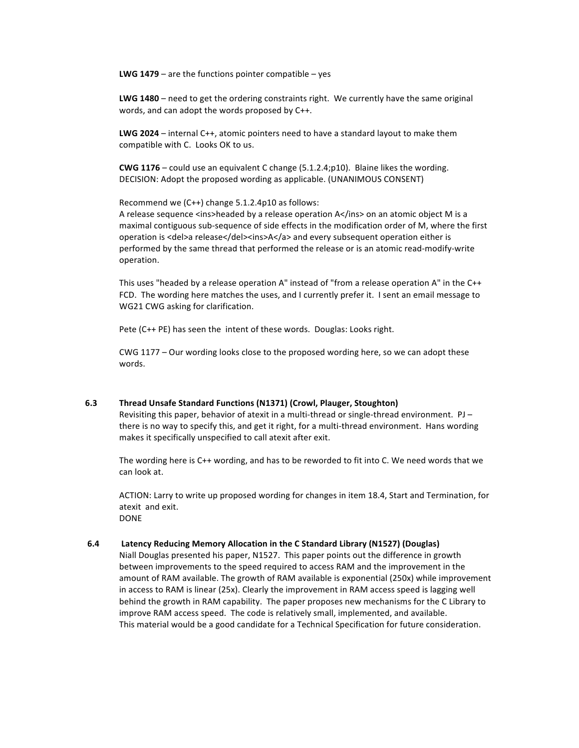**LWG 1479** – are the functions pointer compatible – yes

LWG 1480 – need to get the ordering constraints right. We currently have the same original words, and can adopt the words proposed by C++.

LWG 2024 – internal C++, atomic pointers need to have a standard layout to make them compatible with C. Looks OK to us.

**CWG 1176** – could use an equivalent C change  $(5.1.2.4;p10)$ . Blaine likes the wording. DECISION: Adopt the proposed wording as applicable. (UNANIMOUS CONSENT)

Recommend we (C++) change  $5.1.2.4p10$  as follows:

A release sequence <ins>headed by a release operation A</ins> on an atomic object M is a maximal contiguous sub-sequence of side effects in the modification order of M, where the first operation is <del>a release</del><ins>A</a></a> and every subsequent operation either is performed by the same thread that performed the release or is an atomic read-modify-write operation.

This uses "headed by a release operation A" instead of "from a release operation A" in the  $C++$ FCD. The wording here matches the uses, and I currently prefer it. I sent an email message to WG21 CWG asking for clarification.

Pete (C++ PE) has seen the intent of these words. Douglas: Looks right.

CWG 1177 – Our wording looks close to the proposed wording here, so we can adopt these words.

## **6.3%% Thread%Unsafe%Standard%Functions%(N1371)%(Crowl,%Plauger,%Stoughton)**

Revisiting this paper, behavior of atexit in a multi-thread or single-thread environment. PJ – there is no way to specify this, and get it right, for a multi-thread environment. Hans wording makes it specifically unspecified to call atexit after exit.

The wording here is C++ wording, and has to be reworded to fit into C. We need words that we can look at.

ACTION: Larry to write up proposed wording for changes in item 18.4, Start and Termination, for atexit and exit. DONE

#### 6.4 **Latency Reducing Memory Allocation in the C Standard Library (N1527) (Douglas)**

Niall Douglas presented his paper, N1527. This paper points out the difference in growth between improvements to the speed required to access RAM and the improvement in the amount of RAM available. The growth of RAM available is exponential (250x) while improvement in access to RAM is linear (25x). Clearly the improvement in RAM access speed is lagging well behind the growth in RAM capability. The paper proposes new mechanisms for the C Library to improve RAM access speed. The code is relatively small, implemented, and available. This material would be a good candidate for a Technical Specification for future consideration.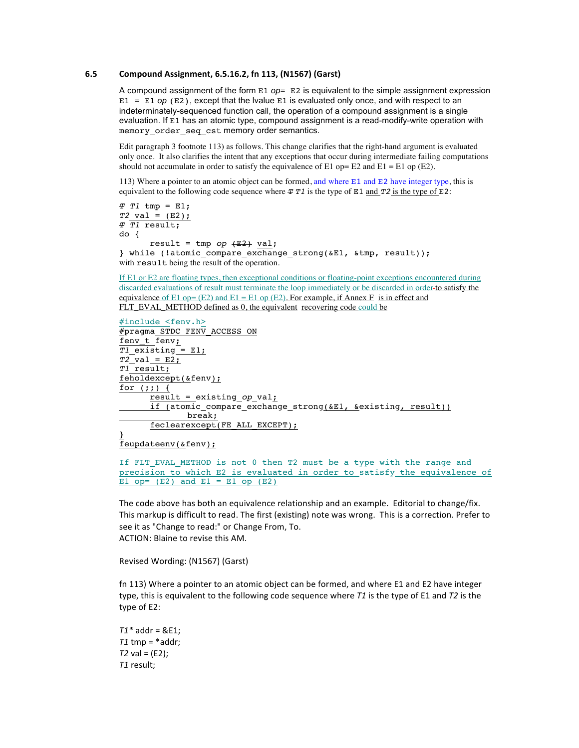## **6.5% Compound%Assignment,%6.5.16.2,%fn%113,%(N1567)%(Garst)**

A compound assignment of the form E1 *op*= E2 is equivalent to the simple assignment expression  $E1 = E1$  *op* ( $E2$ ), except that the Ivalue E1 is evaluated only once, and with respect to an indeterminately-sequenced function call, the operation of a compound assignment is a single evaluation. If E1 has an atomic type, compound assignment is a read-modify-write operation with memory order seq cst memory order semantics.

Edit paragraph 3 footnote 113) as follows. This change clarifies that the right-hand argument is evaluated only once. It also clarifies the intent that any exceptions that occur during intermediate failing computations should not accumulate in order to satisfy the equivalence of E1 op= E2 and E1 = E1 op (E2).

113) Where a pointer to an atomic object can be formed, and where E1 and E2 have integer type, this is equivalent to the following code sequence where  $\text{\textsterling T1}$  is the type of E1 and  $\text{\textsterling 72}$  is the type of E2:

```
T T1 tmp = E1;
T2 val = (E2);
T T1 result;
do {
      result = tmp op (E2) val;
} while (!atomic_compare_exchange_strong(&E1, &tmp, result));
with result being the result of the operation.
```
If E1 or E2 are floating types, then exceptional conditions or floating-point exceptions encountered during discarded evaluations of result must terminate the loop immediately or be discarded in order-to satisfy the equivalence of E1 op= (E2) and E1 = E1 op (E2). For example, if Annex F is in effect and FLT\_EVAL\_METHOD defined as 0, the equivalent recovering code could be

```
#include <fenv.h>
#pragma STDC FENV ACCESS ON
fenv<sub>t</sub>
T1 existing = E1;
T2 val = E2;
T1 result;
feholdexcept(&fenv);
for (i; j) {
      result = existing op val;
      if (atomic compare exchange strong(&E1, &existing, result))
             break;
      feclearexcept(FE_ALL_EXCEPT);
}
```
feupdateenv(&fenv);

If FLT EVAL METHOD is not 0 then T2 must be a type with the range and precision to which E2 is evaluated in order to satisfy the equivalence of E1 op=  $(E2)$  and  $E1 = E1$  op  $(E2)$ 

The code above has both an equivalence relationship and an example. Editorial to change/fix. This markup is difficult to read. The first (existing) note was wrong. This is a correction. Prefer to see it as "Change to read:" or Change From, To. ACTION: Blaine to revise this AM.

Revised Wording: (N1567) (Garst)

fn 113) Where a pointer to an atomic object can be formed, and where E1 and E2 have integer type, this is equivalent to the following code sequence where  $T1$  is the type of E1 and  $T2$  is the type of E2:

 $T1*$  addr =  $&E1:$  $T1$  tmp =  $*$ addr;  $T2$  val = (E2); *T1*!result;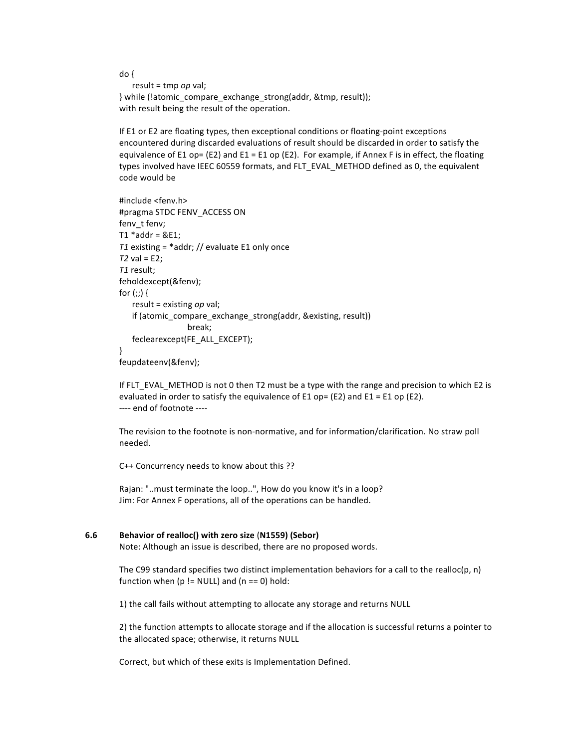```
do\{result = tmp op val;
} while (latomic compare exchange strong(addr, &tmp, result));
with result being the result of the operation.
```
If E1 or E2 are floating types, then exceptional conditions or floating-point exceptions encountered during discarded evaluations of result should be discarded in order to satisfy the equivalence of E1 op= (E2) and E1 = E1 op (E2). For example, if Annex F is in effect, the floating types involved have IEEC 60559 formats, and FLT\_EVAL\_METHOD defined as 0, the equivalent code would be

```
#include <fenv.h>
#pragma STDC FENV_ACCESS ON
fenv_t fenv;
T1 * addr = & E1;T1 existing = *addr; // evaluate E1 only once
T2 val = E2;
T1 result;
feholdexcept(&fenv);
for (:;) {
   result = existing op val;
   if (atomic compare exchange strong(addr, &existing, result))
                  break;
   feclearexcept(FE_ALL_EXCEPT);
\mathcal{E}feupdateenv(&fenv);
```
If FLT\_EVAL\_METHOD is not 0 then T2 must be a type with the range and precision to which E2 is evaluated in order to satisfy the equivalence of E1 op= (E2) and E1 = E1 op (E2). ---- end of footnote ----

The revision to the footnote is non-normative, and for information/clarification. No straw poll needed.

C++ Concurrency needs to know about this ??

Rajan: "..must terminate the loop..", How do you know it's in a loop? Jim: For Annex F operations, all of the operations can be handled.

#### $6.6$ Behavior of realloc() with zero size (N1559) (Sebor)

Note: Although an issue is described, there are no proposed words.

The C99 standard specifies two distinct implementation behaviors for a call to the realloc(p, n) function when ( $p$  != NULL) and ( $n == 0$ ) hold:

1) the call fails without attempting to allocate any storage and returns NULL

2) the function attempts to allocate storage and if the allocation is successful returns a pointer to the allocated space; otherwise, it returns NULL

Correct, but which of these exits is Implementation Defined.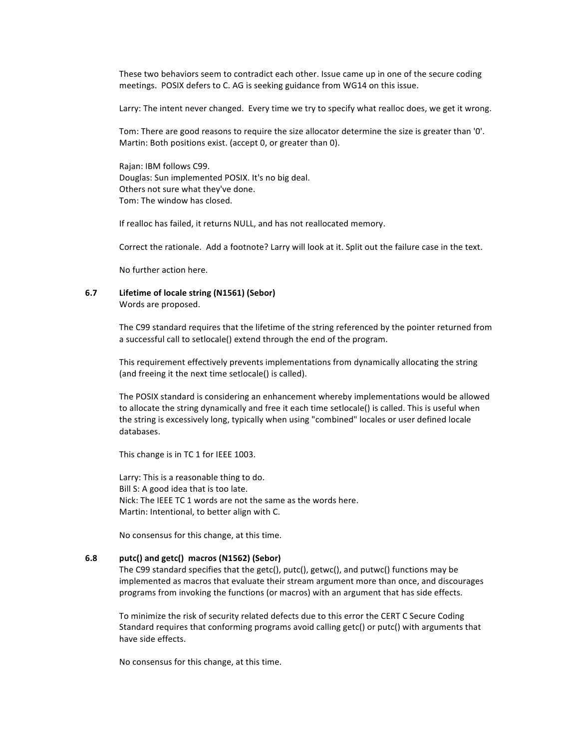These two behaviors seem to contradict each other. Issue came up in one of the secure coding meetings. POSIX defers to C. AG is seeking guidance from WG14 on this issue.

Larry: The intent never changed. Every time we try to specify what realloc does, we get it wrong.

Tom: There are good reasons to require the size allocator determine the size is greater than '0'. Martin: Both positions exist. (accept 0, or greater than 0).

Rajan: IBM follows C99. Douglas: Sun implemented POSIX. It's no big deal. Others not sure what they've done. Tom: The window has closed.

If realloc has failed, it returns NULL, and has not reallocated memory.

Correct the rationale. Add a footnote? Larry will look at it. Split out the failure case in the text.

No further action here.

# **6.7 Lifetime of locale string (N1561) (Sebor)**

Words are proposed.

The C99 standard requires that the lifetime of the string referenced by the pointer returned from a successful call to setlocale() extend through the end of the program.

This requirement effectively prevents implementations from dynamically allocating the string (and freeing it the next time setlocale() is called).

The POSIX standard is considering an enhancement whereby implementations would be allowed to allocate the string dynamically and free it each time setlocale() is called. This is useful when the string is excessively long, typically when using "combined" locales or user defined locale databases.

This change is in TC 1 for IEEE 1003.

Larry: This is a reasonable thing to do. Bill S: A good idea that is too late. Nick: The IEEE TC 1 words are not the same as the words here. Martin: Intentional, to better align with C.

No consensus for this change, at this time.

## **6.8 putc()%and%getc()%%macros%(N1562)%(Sebor)**

The C99 standard specifies that the getc(), putc(), getwc(), and putwc() functions may be implemented as macros that evaluate their stream argument more than once, and discourages programs from invoking the functions (or macros) with an argument that has side effects.

To minimize the risk of security related defects due to this error the CERT C Secure Coding Standard requires that conforming programs avoid calling getc() or putc() with arguments that have side effects.

No consensus for this change, at this time.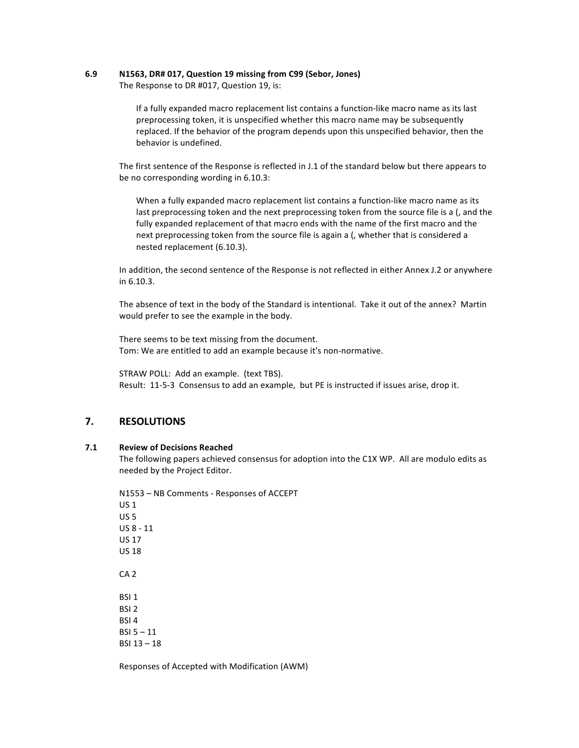#### $6.9$ N1563, DR# 017, Question 19 missing from C99 (Sebor, Jones)

The Response to DR #017, Question 19, is:

If a fully expanded macro replacement list contains a function-like macro name as its last preprocessing token, it is unspecified whether this macro name may be subsequently replaced. If the behavior of the program depends upon this unspecified behavior, then the behavior is undefined.

The first sentence of the Response is reflected in J.1 of the standard below but there appears to be no corresponding wording in 6.10.3:

When a fully expanded macro replacement list contains a function-like macro name as its last preprocessing token and the next preprocessing token from the source file is a (, and the fully expanded replacement of that macro ends with the name of the first macro and the next preprocessing token from the source file is again a (, whether that is considered a nested replacement (6.10.3).

In addition, the second sentence of the Response is not reflected in either Annex J.2 or anywhere in 6.10.3.

The absence of text in the body of the Standard is intentional. Take it out of the annex? Martin would prefer to see the example in the body.

There seems to be text missing from the document. Tom: We are entitled to add an example because it's non-normative.

STRAW POLL: Add an example. (text TBS). Result: 11-5-3 Consensus to add an example, but PE is instructed if issues arise, drop it.

#### 7. **RESOLUTIONS**

#### $7.1$ **Review of Decisions Reached**

The following papers achieved consensus for adoption into the C1X WP. All are modulo edits as needed by the Project Editor.

N1553 - NB Comments - Responses of ACCEPT **US1**  $US<sub>5</sub>$  $US 8 - 11$ **US 17 US 18**  $CA<sub>2</sub>$ BSI<sub>1</sub> BSI<sub>2</sub> BSI<sub>4</sub>  $RSI_5 - 11$  $BSI$  13 - 18

Responses of Accepted with Modification (AWM)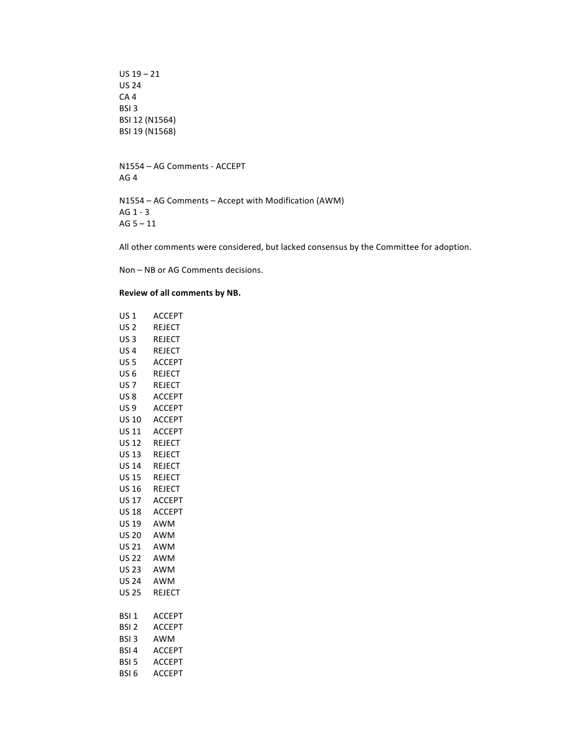$US$  19 – 21 US!24 CA 4 BSI 3 BSI 12 (N1564) BSI 19 (N1568)

N1554 – AG Comments - ACCEPT AG 4

N1554 – AG Comments – Accept with Modification (AWM) AG 1 - 3 AG  $5 - 11$ 

All other comments were considered, but lacked consensus by the Committee for adoption.

Non – NB or AG Comments decisions.

## **Review of all comments by NB.**

| US 1             | <b>ACCEPT</b> |
|------------------|---------------|
| US 2             | <b>REJECT</b> |
| US 3             | <b>REJECT</b> |
| <b>US4</b>       | <b>REJECT</b> |
| <b>US 5</b>      | <b>ACCEPT</b> |
| US 6             | <b>REJECT</b> |
| US <sub>7</sub>  | <b>REJECT</b> |
| US 8             | <b>ACCEPT</b> |
| US 9             | <b>ACCEPT</b> |
| US 10            | <b>ACCEPT</b> |
|                  | US 11 ACCEPT  |
| US 12            | <b>REJECT</b> |
| US 13 REJECT     |               |
| US 14 REJECT     |               |
| <b>US 15</b>     | <b>REJECT</b> |
| US 16            | <b>REJECT</b> |
| US 17            | <b>ACCEPT</b> |
| US 18            | <b>ACCEPT</b> |
| US 19            | AWM           |
| <b>US 20</b>     | AWM           |
| US 21            | <b>AWM</b>    |
| US 22            | AWM           |
| US 23            | <b>AWM</b>    |
| US 24            | AWM           |
| US 25            | <b>REJECT</b> |
|                  |               |
| BSI <sub>1</sub> | <b>ACCEPT</b> |
| BSI <sub>2</sub> | <b>ACCEPT</b> |
| BSI <sub>3</sub> | AWM           |
| BSI <sub>4</sub> | <b>ACCEPT</b> |
| BSI <sub>5</sub> | <b>ACCEPT</b> |
| BSI <sub>6</sub> | <b>ACCEPT</b> |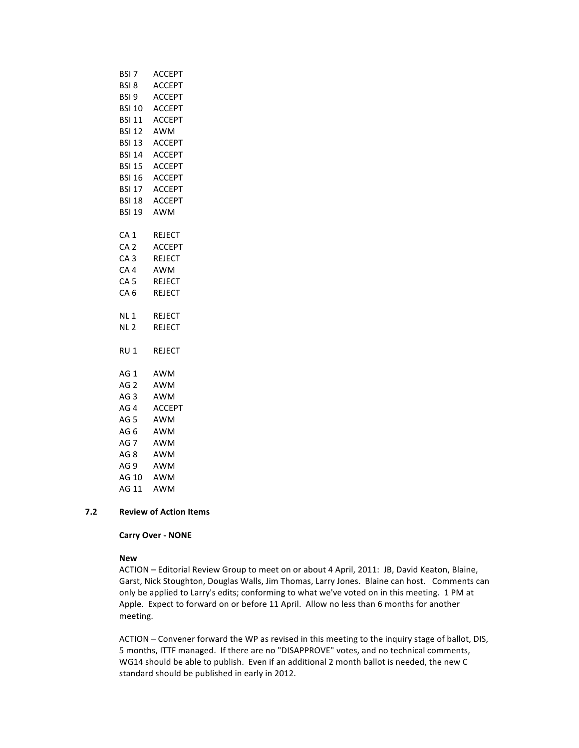| BSI 7                 | <b>ACCEPT</b> |
|-----------------------|---------------|
| BSI 8                 | ACCEPT        |
| BSI 9                 | <b>ACCEPT</b> |
|                       | BSI 10 ACCEPT |
|                       | BSI 11 ACCEPT |
|                       | BSI 12 AWM    |
|                       | BSI 13 ACCEPT |
|                       | BSI 14 ACCEPT |
|                       | BSI 15 ACCEPT |
|                       | BSI 16 ACCEPT |
|                       | BSI 17 ACCEPT |
|                       | BSI 18 ACCEPT |
|                       | BSI 19 AWM    |
| CA <sub>1</sub>       | REJECT        |
| CA <sub>2</sub>       | <b>ACCEPT</b> |
| CA <sub>3</sub>       | <b>REJECT</b> |
| CA <sub>4</sub>       | AWM           |
| CA <sub>5</sub>       | REJECT        |
| CA <sub>6</sub>       | <b>REJECT</b> |
| <b>NL1</b>            | <b>REJECT</b> |
| NL <sub>2</sub>       | <b>REJECT</b> |
| RU <sub>1</sub>       | <b>REJECT</b> |
| AG <sub>1</sub>       | AWM           |
| AG <sub>2</sub>       | AWM           |
| AG <sub>3</sub>       | AWM           |
| AG <sub>4</sub>       | <b>ACCEPT</b> |
| AG <sub>5</sub>       | AWM           |
| AG <sub>6</sub>       | AWM           |
| AG 7<br>AG 8          | AWM           |
|                       | AWM           |
| AG 9 AWM<br>AG 10 AWM | AWM           |
|                       |               |
| AG 11                 | AWM           |

## **7.2 Review of Action Items**

## **Carry Over - NONE**

## **New**

ACTION – Editorial Review Group to meet on or about 4 April, 2011: JB, David Keaton, Blaine, Garst, Nick Stoughton, Douglas Walls, Jim Thomas, Larry Jones. Blaine can host. Comments can only be applied to Larry's edits; conforming to what we've voted on in this meeting. 1 PM at Apple. Expect to forward on or before 11 April. Allow no less than 6 months for another meeting.

ACTION – Convener forward the WP as revised in this meeting to the inquiry stage of ballot, DIS, 5 months, ITTF managed. If there are no "DISAPPROVE" votes, and no technical comments, WG14 should be able to publish. Even if an additional 2 month ballot is needed, the new C standard should be published in early in 2012.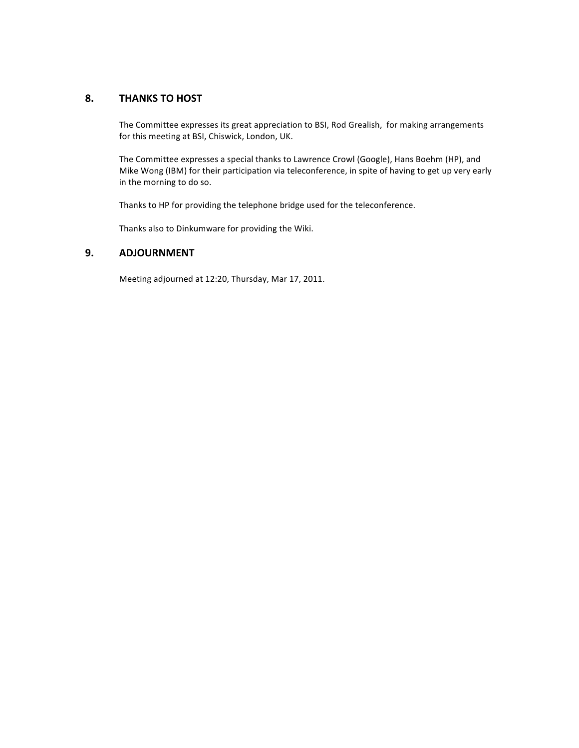## 8. **THANKS TO HOST**

The Committee expresses its great appreciation to BSI, Rod Grealish, for making arrangements for this meeting at BSI, Chiswick, London, UK.

The Committee expresses a special thanks to Lawrence Crowl (Google), Hans Boehm (HP), and Mike Wong (IBM) for their participation via teleconference, in spite of having to get up very early in the morning to do so.

Thanks to HP for providing the telephone bridge used for the teleconference.

Thanks also to Dinkumware for providing the Wiki.

## **9. ADJOURNMENT**

Meeting adjourned at 12:20, Thursday, Mar 17, 2011.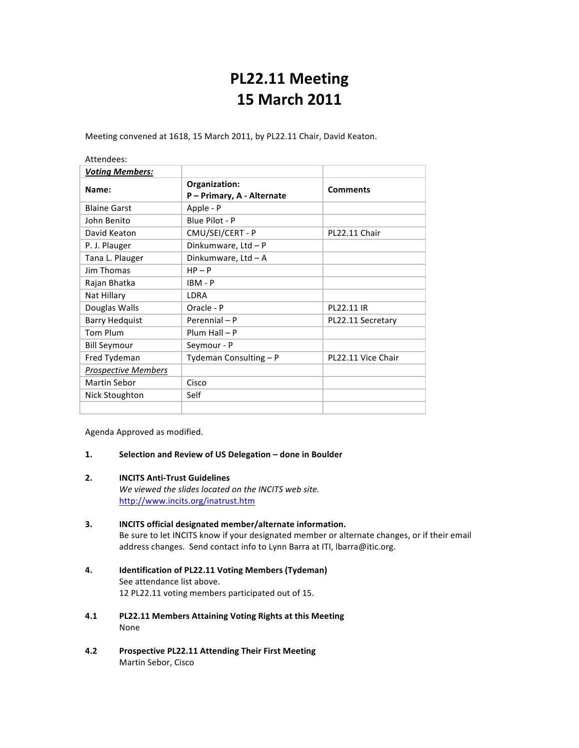# **PL22.11%Meeting 15%March%2011**

Meeting convened at 1618, 15 March 2011, by PL22.11 Chair, David Keaton.

| Attendees:                 |                                             |                    |
|----------------------------|---------------------------------------------|--------------------|
| <b>Voting Members:</b>     |                                             |                    |
| Name:                      | Organization:<br>P - Primary, A - Alternate | <b>Comments</b>    |
| <b>Blaine Garst</b>        | Apple - P                                   |                    |
| John Benito                | Blue Pilot - P                              |                    |
| David Keaton               | CMU/SEI/CERT - P                            | PL22.11 Chair      |
| P. J. Plauger              | Dinkumware, Ltd - P                         |                    |
| Tana L. Plauger            | Dinkumware, Ltd - A                         |                    |
| <b>Jim Thomas</b>          | $HP - P$                                    |                    |
| Rajan Bhatka               | $IBM - P$                                   |                    |
| Nat Hillary                | LDRA                                        |                    |
| Douglas Walls              | Oracle - P                                  | PL22.11 IR         |
| <b>Barry Hedquist</b>      | Perennial - P                               | PL22.11 Secretary  |
| Tom Plum                   | $Plum Hall - P$                             |                    |
| <b>Bill Seymour</b>        | Seymour - P                                 |                    |
| Fred Tydeman               | Tydeman Consulting - P                      | PL22.11 Vice Chair |
| <b>Prospective Members</b> |                                             |                    |
| <b>Martin Sebor</b>        | Cisco                                       |                    |
| Nick Stoughton             | Self                                        |                    |
|                            |                                             |                    |

Agenda Approved as modified.

## 1. **Selection and Review of US Delegation – done in Boulder**

## **2. INCITS Anti-Trust Guidelines**

We viewed the slides located on the INCITS web site. http://www.incits.org/inatrust.htm

## **3. INCITS official designated member/alternate information.** Be sure to let INCITS know if your designated member or alternate changes, or if their email address changes. Send contact info to Lynn Barra at ITI, Ibarra@itic.org.

- 4. **Identification of PL22.11 Voting Members (Tydeman)** See attendance list above. 12 PL22.11 voting members participated out of 15.
- **4.1 PL22.11%Members%Attaining%Voting%Rights%at%this%Meeting** None
- **4.2 Prospective%PL22.11%Attending%Their%First%Meeting** Martin Sebor, Cisco